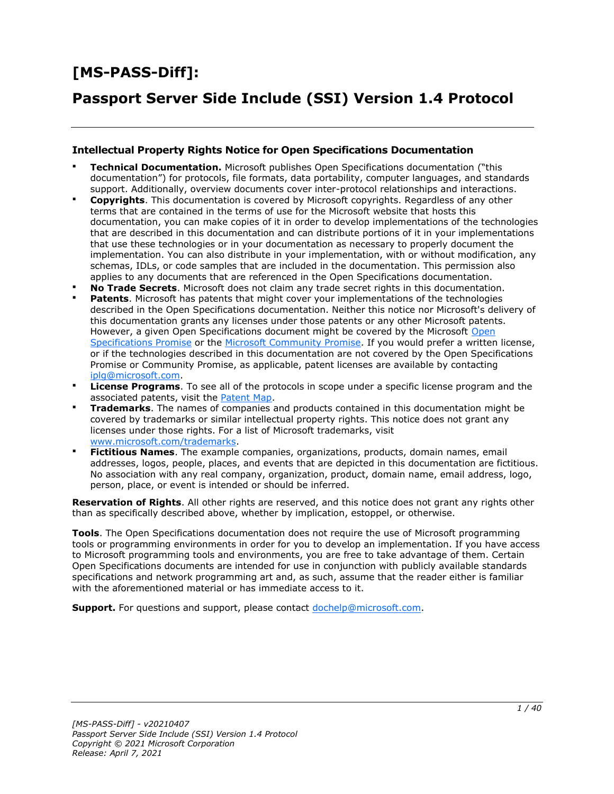# **[MS-PASS-Diff]:**

# **Passport Server Side Include (SSI) Version 1.4 Protocol**

#### **Intellectual Property Rights Notice for Open Specifications Documentation**

- **Technical Documentation.** Microsoft publishes Open Specifications documentation ("this documentation") for protocols, file formats, data portability, computer languages, and standards support. Additionally, overview documents cover inter-protocol relationships and interactions.
- **Copyrights**. This documentation is covered by Microsoft copyrights. Regardless of any other terms that are contained in the terms of use for the Microsoft website that hosts this documentation, you can make copies of it in order to develop implementations of the technologies that are described in this documentation and can distribute portions of it in your implementations that use these technologies or in your documentation as necessary to properly document the implementation. You can also distribute in your implementation, with or without modification, any schemas, IDLs, or code samples that are included in the documentation. This permission also applies to any documents that are referenced in the Open Specifications documentation.
- **No Trade Secrets**. Microsoft does not claim any trade secret rights in this documentation.
- **Patents**. Microsoft has patents that might cover your implementations of the technologies described in the Open Specifications documentation. Neither this notice nor Microsoft's delivery of this documentation grants any licenses under those patents or any other Microsoft patents. However, a given [Open](https://go.microsoft.com/fwlink/?LinkId=214445) Specifications document might be covered by the Microsoft Open [Specifications Promise](https://go.microsoft.com/fwlink/?LinkId=214445) or the [Microsoft Community Promise.](https://go.microsoft.com/fwlink/?LinkId=214448) If you would prefer a written license, or if the technologies described in this documentation are not covered by the Open Specifications Promise or Community Promise, as applicable, patent licenses are available by contacting [iplg@microsoft.com.](mailto:iplg@microsoft.com)
- **License Programs**. To see all of the protocols in scope under a specific license program and the associated patents, visit the [Patent Map.](https://aka.ms/AA9ufj8)
- **Trademarks**. The names of companies and products contained in this documentation might be covered by trademarks or similar intellectual property rights. This notice does not grant any licenses under those rights. For a list of Microsoft trademarks, visit [www.microsoft.com/trademarks.](https://www.microsoft.com/trademarks)
- **Fictitious Names**. The example companies, organizations, products, domain names, email addresses, logos, people, places, and events that are depicted in this documentation are fictitious. No association with any real company, organization, product, domain name, email address, logo, person, place, or event is intended or should be inferred.

**Reservation of Rights**. All other rights are reserved, and this notice does not grant any rights other than as specifically described above, whether by implication, estoppel, or otherwise.

**Tools**. The Open Specifications documentation does not require the use of Microsoft programming tools or programming environments in order for you to develop an implementation. If you have access to Microsoft programming tools and environments, you are free to take advantage of them. Certain Open Specifications documents are intended for use in conjunction with publicly available standards specifications and network programming art and, as such, assume that the reader either is familiar with the aforementioned material or has immediate access to it.

**Support.** For questions and support, please contact [dochelp@microsoft.com.](mailto:dochelp@microsoft.com)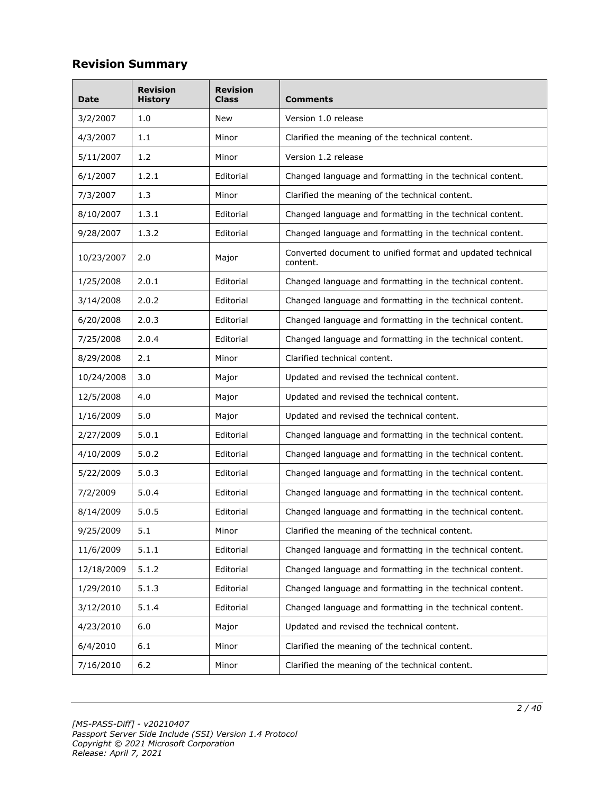# **Revision Summary**

| Date       | <b>Revision</b><br><b>History</b> | <b>Revision</b><br>Class | Comments                                                               |
|------------|-----------------------------------|--------------------------|------------------------------------------------------------------------|
| 3/2/2007   | 1.0                               | New                      | Version 1.0 release                                                    |
| 4/3/2007   | 1.1                               | Minor                    | Clarified the meaning of the technical content.                        |
| 5/11/2007  | 1.2                               | Minor                    | Version 1.2 release                                                    |
| 6/1/2007   | 1.2.1                             | Editorial                | Changed language and formatting in the technical content.              |
| 7/3/2007   | 1.3                               | Minor                    | Clarified the meaning of the technical content.                        |
| 8/10/2007  | 1.3.1                             | Editorial                | Changed language and formatting in the technical content.              |
| 9/28/2007  | 1.3.2                             | Editorial                | Changed language and formatting in the technical content.              |
| 10/23/2007 | 2.0                               | Major                    | Converted document to unified format and updated technical<br>content. |
| 1/25/2008  | 2.0.1                             | Editorial                | Changed language and formatting in the technical content.              |
| 3/14/2008  | 2.0.2                             | Editorial                | Changed language and formatting in the technical content.              |
| 6/20/2008  | 2.0.3                             | Editorial                | Changed language and formatting in the technical content.              |
| 7/25/2008  | 2.0.4                             | Editorial                | Changed language and formatting in the technical content.              |
| 8/29/2008  | 2.1                               | Minor                    | Clarified technical content.                                           |
| 10/24/2008 | 3.0                               | Major                    | Updated and revised the technical content.                             |
| 12/5/2008  | 4.0                               | Major                    | Updated and revised the technical content.                             |
| 1/16/2009  | 5.0                               | Major                    | Updated and revised the technical content.                             |
| 2/27/2009  | 5.0.1                             | Editorial                | Changed language and formatting in the technical content.              |
| 4/10/2009  | 5.0.2                             | Editorial                | Changed language and formatting in the technical content.              |
| 5/22/2009  | 5.0.3                             | Editorial                | Changed language and formatting in the technical content.              |
| 7/2/2009   | 5.0.4                             | Editorial                | Changed language and formatting in the technical content.              |
| 8/14/2009  | 5.0.5                             | Editorial                | Changed language and formatting in the technical content.              |
| 9/25/2009  | 5.1                               | Minor                    | Clarified the meaning of the technical content.                        |
| 11/6/2009  | 5.1.1                             | Editorial                | Changed language and formatting in the technical content.              |
| 12/18/2009 | 5.1.2                             | Editorial                | Changed language and formatting in the technical content.              |
| 1/29/2010  | 5.1.3                             | Editorial                | Changed language and formatting in the technical content.              |
| 3/12/2010  | 5.1.4                             | Editorial                | Changed language and formatting in the technical content.              |
| 4/23/2010  | 6.0                               | Major                    | Updated and revised the technical content.                             |
| 6/4/2010   | 6.1                               | Minor                    | Clarified the meaning of the technical content.                        |
| 7/16/2010  | $6.2$                             | Minor                    | Clarified the meaning of the technical content.                        |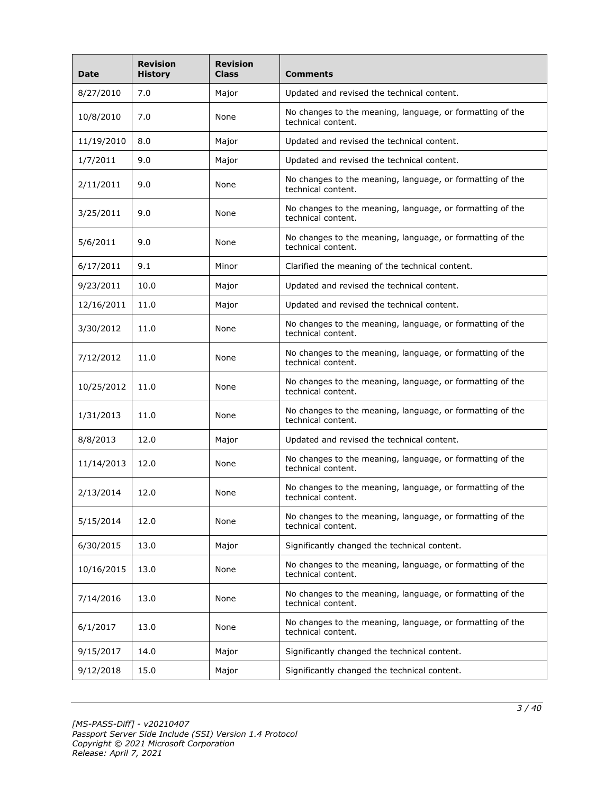| <b>Date</b> | <b>Revision</b><br><b>History</b> | <b>Revision</b><br><b>Class</b> | <b>Comments</b>                                                                 |  |
|-------------|-----------------------------------|---------------------------------|---------------------------------------------------------------------------------|--|
| 8/27/2010   | 7.0                               | Major                           | Updated and revised the technical content.                                      |  |
| 10/8/2010   | 7.0                               | None                            | No changes to the meaning, language, or formatting of the<br>technical content. |  |
| 11/19/2010  | 8.0                               | Major                           | Updated and revised the technical content.                                      |  |
| 1/7/2011    | 9.0                               | Major                           | Updated and revised the technical content.                                      |  |
| 2/11/2011   | 9.0                               | None                            | No changes to the meaning, language, or formatting of the<br>technical content. |  |
| 3/25/2011   | 9.0                               | None                            | No changes to the meaning, language, or formatting of the<br>technical content. |  |
| 5/6/2011    | 9.0                               | None                            | No changes to the meaning, language, or formatting of the<br>technical content. |  |
| 6/17/2011   | 9.1                               | Minor                           | Clarified the meaning of the technical content.                                 |  |
| 9/23/2011   | 10.0                              | Major                           | Updated and revised the technical content.                                      |  |
| 12/16/2011  | 11.0                              | Major                           | Updated and revised the technical content.                                      |  |
| 3/30/2012   | 11.0                              | None                            | No changes to the meaning, language, or formatting of the<br>technical content. |  |
| 7/12/2012   | 11.0                              | None                            | No changes to the meaning, language, or formatting of the<br>technical content. |  |
| 10/25/2012  | 11.0                              | None                            | No changes to the meaning, language, or formatting of the<br>technical content. |  |
| 1/31/2013   | 11.0                              | None                            | No changes to the meaning, language, or formatting of the<br>technical content. |  |
| 8/8/2013    | 12.0                              | Major                           | Updated and revised the technical content.                                      |  |
| 11/14/2013  | 12.0                              | None                            | No changes to the meaning, language, or formatting of the<br>technical content. |  |
| 2/13/2014   | 12.0                              | None                            | No changes to the meaning, language, or formatting of the<br>technical content. |  |
| 5/15/2014   | 12.0                              | None                            | No changes to the meaning, language, or formatting of the<br>technical content. |  |
| 6/30/2015   | 13.0                              | Major                           | Significantly changed the technical content.                                    |  |
| 10/16/2015  | 13.0                              | None                            | No changes to the meaning, language, or formatting of the<br>technical content. |  |
| 7/14/2016   | 13.0                              | None                            | No changes to the meaning, language, or formatting of the<br>technical content. |  |
| 6/1/2017    | 13.0                              | None                            | No changes to the meaning, language, or formatting of the<br>technical content. |  |
| 9/15/2017   | 14.0                              | Major                           | Significantly changed the technical content.                                    |  |
| 9/12/2018   | 15.0                              | Major                           | Significantly changed the technical content.                                    |  |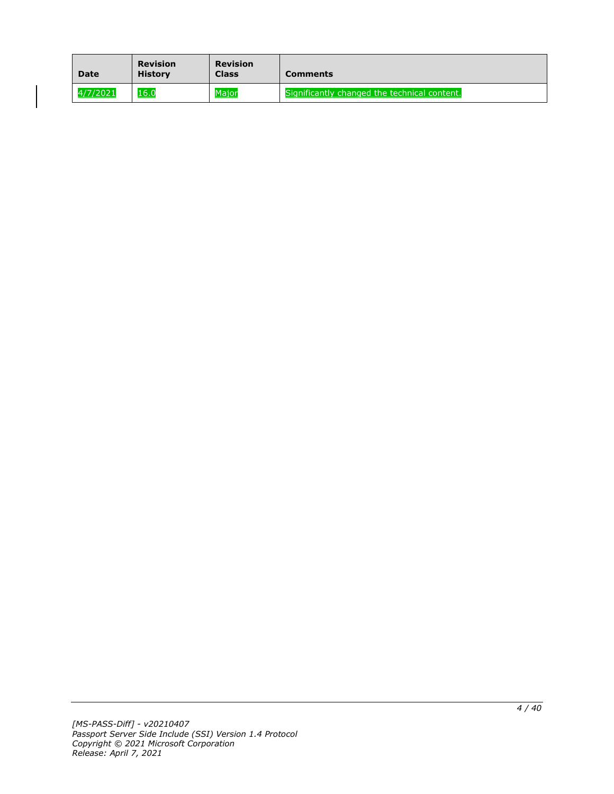| <b>Date</b> | <b>Revision</b><br><b>History</b> | <b>Revision</b><br><b>Class</b> | <b>Comments</b>                              |
|-------------|-----------------------------------|---------------------------------|----------------------------------------------|
| 4/7/2021    | 16.0                              | <b>Maior</b>                    | Significantly changed the technical content. |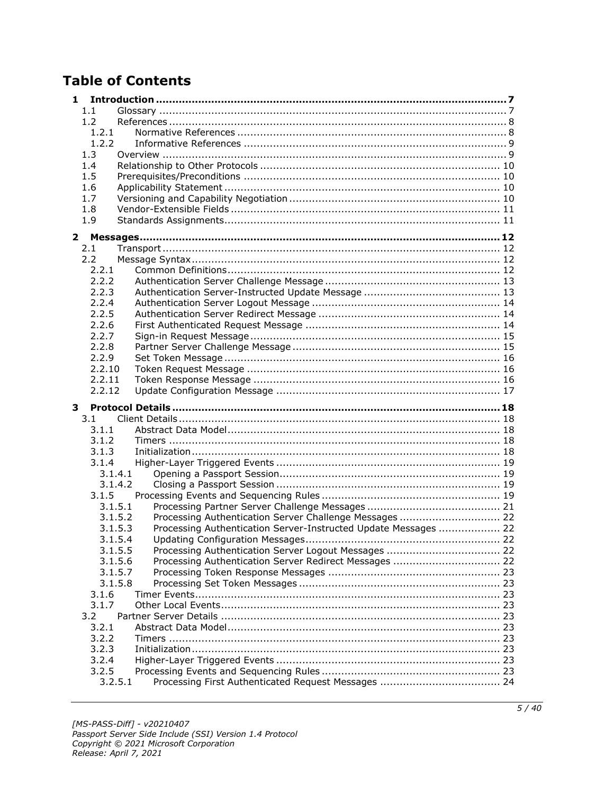# **Table of Contents**

| 1.               |                                                                 |  |
|------------------|-----------------------------------------------------------------|--|
| 1.1              |                                                                 |  |
| 1.2              |                                                                 |  |
| 1.2.1            |                                                                 |  |
| 1.2.2            |                                                                 |  |
| 1.3              |                                                                 |  |
| 1.4              |                                                                 |  |
| 1.5              |                                                                 |  |
| 1.6              |                                                                 |  |
| 1.7              |                                                                 |  |
| 1.8              |                                                                 |  |
| 1.9              |                                                                 |  |
| $\mathbf{2}$     |                                                                 |  |
| 2.1              |                                                                 |  |
| 2.2              |                                                                 |  |
| 2.2.1            |                                                                 |  |
| 2.2.2            |                                                                 |  |
| 2.2.3            |                                                                 |  |
| 2.2.4            |                                                                 |  |
| 2.2.5            |                                                                 |  |
| 2.2.6            |                                                                 |  |
| 2.2.7            |                                                                 |  |
| 2.2.8            |                                                                 |  |
| 2.2.9            |                                                                 |  |
| 2.2.10           |                                                                 |  |
| 2.2.11<br>2.2.12 |                                                                 |  |
|                  |                                                                 |  |
|                  |                                                                 |  |
| 3                |                                                                 |  |
| 3.1              |                                                                 |  |
| 3.1.1            |                                                                 |  |
| 3.1.2            |                                                                 |  |
| 3.1.3            |                                                                 |  |
| 3.1.4            |                                                                 |  |
| 3.1.4.1          |                                                                 |  |
| 3.1.4.2          |                                                                 |  |
| 3.1.5            |                                                                 |  |
| 3.1.5.1          |                                                                 |  |
| 3.1.5.2          | Processing Authentication Server Challenge Messages  22         |  |
| 3.1.5.3          | Processing Authentication Server-Instructed Update Messages  22 |  |
| 3.1.5.4          |                                                                 |  |
| 3.1.5.5          |                                                                 |  |
| 3.1.5.6          | Processing Authentication Server Redirect Messages  22          |  |
| 3.1.5.7          |                                                                 |  |
| 3.1.5.8          |                                                                 |  |
| 3.1.6            |                                                                 |  |
| 3.1.7            |                                                                 |  |
| 3.2<br>3.2.1     |                                                                 |  |
| 3.2.2            |                                                                 |  |
| 3.2.3            |                                                                 |  |
| 3.2.4            |                                                                 |  |
| 3.2.5            |                                                                 |  |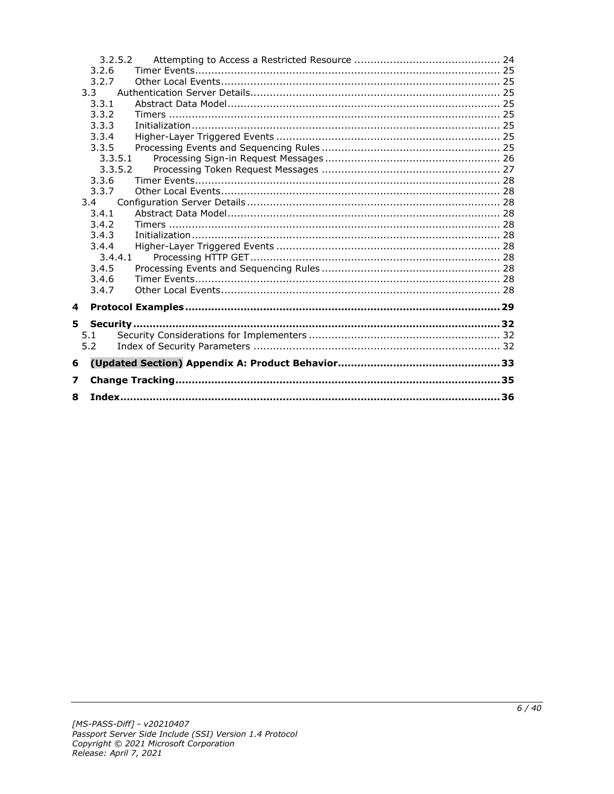|    |                | 3.2.5.2 |  |
|----|----------------|---------|--|
|    | 3.2.6          |         |  |
|    | 3.2.7          |         |  |
|    | 3.3            |         |  |
|    | 3.3.1          |         |  |
|    | 3.3.2          |         |  |
|    | 3.3.3          |         |  |
|    | 3.3.4          |         |  |
|    | 3.3.5          |         |  |
|    |                | 3.3.5.1 |  |
|    |                | 3.3.5.2 |  |
|    | 3.3.6          |         |  |
|    | 3.3.7          |         |  |
|    | 3.4            |         |  |
|    | 3.4.1          |         |  |
|    | 3.4.2          |         |  |
|    | 3.4.3          |         |  |
|    | 3.4.4          |         |  |
|    |                | 3.4.4.1 |  |
|    | 3.4.5          |         |  |
|    | 3.4.6<br>3.4.7 |         |  |
|    |                |         |  |
| 4  |                |         |  |
| 5. |                |         |  |
|    | 5.1            |         |  |
|    | 5.2            |         |  |
|    |                |         |  |
| 6  |                |         |  |
| 7  |                |         |  |
| 8  |                |         |  |
|    |                |         |  |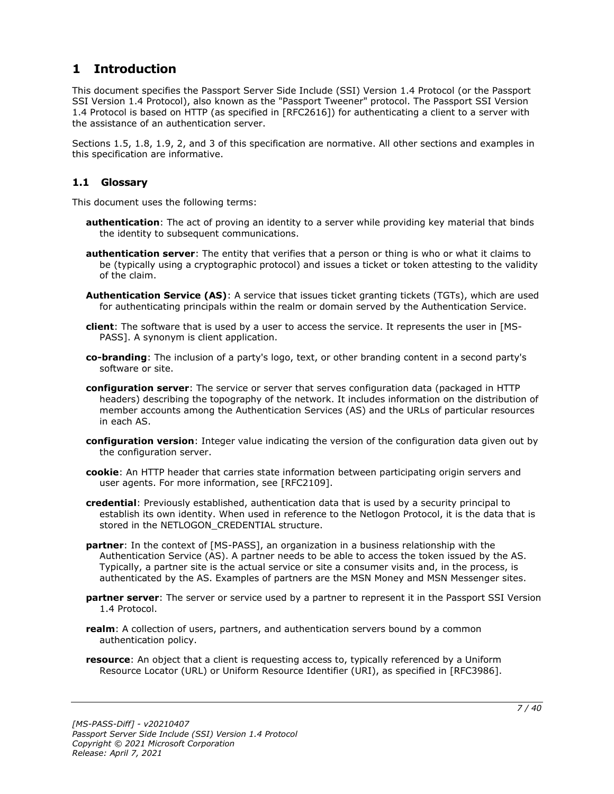# <span id="page-6-0"></span>**1 Introduction**

This document specifies the Passport Server Side Include (SSI) Version 1.4 Protocol (or the Passport SSI Version 1.4 Protocol), also known as the "Passport Tweener" protocol. The Passport SSI Version 1.4 Protocol is based on HTTP (as specified in [RFC2616]) for authenticating a client to a server with the assistance of an authentication server.

Sections 1.5, 1.8, 1.9, 2, and 3 of this specification are normative. All other sections and examples in this specification are informative.

## <span id="page-6-1"></span>**1.1 Glossary**

This document uses the following terms:

- **authentication**: The act of proving an identity to a server while providing key material that binds the identity to subsequent communications.
- **authentication server**: The entity that verifies that a person or thing is who or what it claims to be (typically using a cryptographic protocol) and issues a ticket or token attesting to the validity of the claim.
- **Authentication Service (AS)**: A service that issues ticket granting tickets (TGTs), which are used for authenticating principals within the realm or domain served by the Authentication Service.
- **client**: The software that is used by a user to access the service. It represents the user in [MS-PASS]. A synonym is client application.
- **co-branding**: The inclusion of a party's logo, text, or other branding content in a second party's software or site.
- **configuration server**: The service or server that serves configuration data (packaged in HTTP headers) describing the topography of the network. It includes information on the distribution of member accounts among the Authentication Services (AS) and the URLs of particular resources in each AS.
- **configuration version**: Integer value indicating the version of the configuration data given out by the configuration server.
- **cookie**: An HTTP header that carries state information between participating origin servers and user agents. For more information, see [RFC2109].
- **credential**: Previously established, authentication data that is used by a security principal to establish its own identity. When used in reference to the Netlogon Protocol, it is the data that is stored in the NETLOGON CREDENTIAL structure.
- **partner**: In the context of [MS-PASS], an organization in a business relationship with the Authentication Service (AS). A partner needs to be able to access the token issued by the AS. Typically, a partner site is the actual service or site a consumer visits and, in the process, is authenticated by the AS. Examples of partners are the MSN Money and MSN Messenger sites.
- **partner server**: The server or service used by a partner to represent it in the Passport SSI Version 1.4 Protocol.
- **realm**: A collection of users, partners, and authentication servers bound by a common authentication policy.
- **resource**: An object that a client is requesting access to, typically referenced by a Uniform Resource Locator (URL) or Uniform Resource Identifier (URI), as specified in [RFC3986].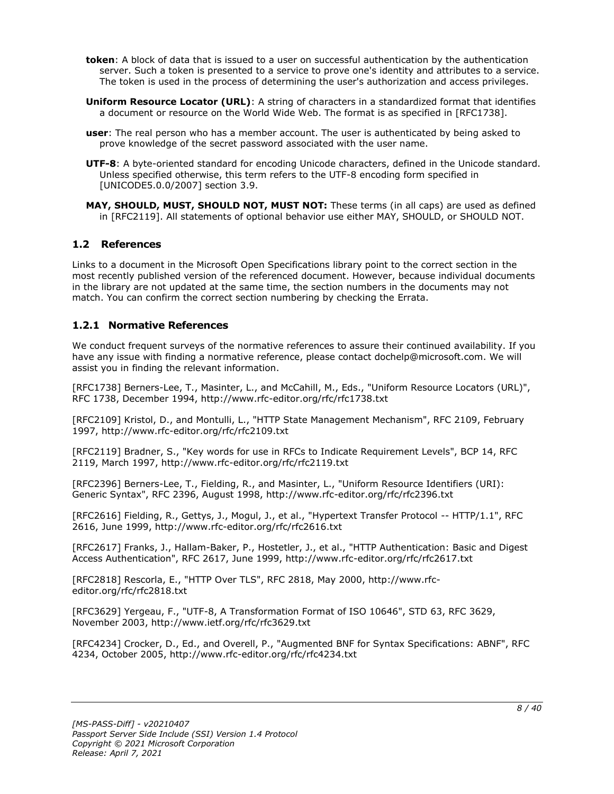- **token**: A block of data that is issued to a user on successful authentication by the authentication server. Such a token is presented to a service to prove one's identity and attributes to a service. The token is used in the process of determining the user's authorization and access privileges.
- **Uniform Resource Locator (URL)**: A string of characters in a standardized format that identifies a document or resource on the World Wide Web. The format is as specified in [RFC1738].
- **user**: The real person who has a member account. The user is authenticated by being asked to prove knowledge of the secret password associated with the user name.
- **UTF-8**: A byte-oriented standard for encoding Unicode characters, defined in the Unicode standard. Unless specified otherwise, this term refers to the UTF-8 encoding form specified in [UNICODE5.0.0/2007] section 3.9.
- **MAY, SHOULD, MUST, SHOULD NOT, MUST NOT:** These terms (in all caps) are used as defined in [RFC2119]. All statements of optional behavior use either MAY, SHOULD, or SHOULD NOT.

## <span id="page-7-0"></span>**1.2 References**

Links to a document in the Microsoft Open Specifications library point to the correct section in the most recently published version of the referenced document. However, because individual documents in the library are not updated at the same time, the section numbers in the documents may not match. You can confirm the correct section numbering by checking the Errata.

## <span id="page-7-1"></span>**1.2.1 Normative References**

We conduct frequent surveys of the normative references to assure their continued availability. If you have any issue with finding a normative reference, please contact dochelp@microsoft.com. We will assist you in finding the relevant information.

[RFC1738] Berners-Lee, T., Masinter, L., and McCahill, M., Eds., "Uniform Resource Locators (URL)", RFC 1738, December 1994, http://www.rfc-editor.org/rfc/rfc1738.txt

[RFC2109] Kristol, D., and Montulli, L., "HTTP State Management Mechanism", RFC 2109, February 1997, http://www.rfc-editor.org/rfc/rfc2109.txt

[RFC2119] Bradner, S., "Key words for use in RFCs to Indicate Requirement Levels", BCP 14, RFC 2119, March 1997, http://www.rfc-editor.org/rfc/rfc2119.txt

[RFC2396] Berners-Lee, T., Fielding, R., and Masinter, L., "Uniform Resource Identifiers (URI): Generic Syntax", RFC 2396, August 1998, http://www.rfc-editor.org/rfc/rfc2396.txt

[RFC2616] Fielding, R., Gettys, J., Mogul, J., et al., "Hypertext Transfer Protocol -- HTTP/1.1", RFC 2616, June 1999, http://www.rfc-editor.org/rfc/rfc2616.txt

[RFC2617] Franks, J., Hallam-Baker, P., Hostetler, J., et al., "HTTP Authentication: Basic and Digest Access Authentication", RFC 2617, June 1999, http://www.rfc-editor.org/rfc/rfc2617.txt

[RFC2818] Rescorla, E., "HTTP Over TLS", RFC 2818, May 2000, http://www.rfceditor.org/rfc/rfc2818.txt

[RFC3629] Yergeau, F., "UTF-8, A Transformation Format of ISO 10646", STD 63, RFC 3629, November 2003, http://www.ietf.org/rfc/rfc3629.txt

[RFC4234] Crocker, D., Ed., and Overell, P., "Augmented BNF for Syntax Specifications: ABNF", RFC 4234, October 2005, http://www.rfc-editor.org/rfc/rfc4234.txt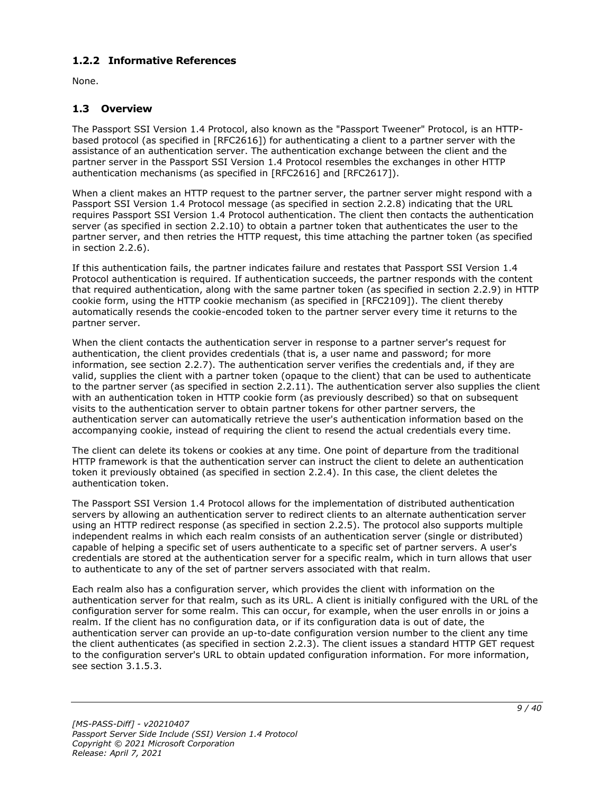## <span id="page-8-0"></span>**1.2.2 Informative References**

None.

## <span id="page-8-1"></span>**1.3 Overview**

The Passport SSI Version 1.4 Protocol, also known as the "Passport Tweener" Protocol, is an HTTPbased protocol (as specified in [RFC2616]) for authenticating a client to a partner server with the assistance of an authentication server. The authentication exchange between the client and the partner server in the Passport SSI Version 1.4 Protocol resembles the exchanges in other HTTP authentication mechanisms (as specified in [RFC2616] and [RFC2617]).

When a client makes an HTTP request to the partner server, the partner server might respond with a Passport SSI Version 1.4 Protocol message (as specified in section 2.2.8) indicating that the URL requires Passport SSI Version 1.4 Protocol authentication. The client then contacts the authentication server (as specified in section 2.2.10) to obtain a partner token that authenticates the user to the partner server, and then retries the HTTP request, this time attaching the partner token (as specified in section 2.2.6).

If this authentication fails, the partner indicates failure and restates that Passport SSI Version 1.4 Protocol authentication is required. If authentication succeeds, the partner responds with the content that required authentication, along with the same partner token (as specified in section 2.2.9) in HTTP cookie form, using the HTTP cookie mechanism (as specified in [RFC2109]). The client thereby automatically resends the cookie-encoded token to the partner server every time it returns to the partner server.

When the client contacts the authentication server in response to a partner server's request for authentication, the client provides credentials (that is, a user name and password; for more information, see section 2.2.7). The authentication server verifies the credentials and, if they are valid, supplies the client with a partner token (opaque to the client) that can be used to authenticate to the partner server (as specified in section 2.2.11). The authentication server also supplies the client with an authentication token in HTTP cookie form (as previously described) so that on subsequent visits to the authentication server to obtain partner tokens for other partner servers, the authentication server can automatically retrieve the user's authentication information based on the accompanying cookie, instead of requiring the client to resend the actual credentials every time.

The client can delete its tokens or cookies at any time. One point of departure from the traditional HTTP framework is that the authentication server can instruct the client to delete an authentication token it previously obtained (as specified in section 2.2.4). In this case, the client deletes the authentication token.

The Passport SSI Version 1.4 Protocol allows for the implementation of distributed authentication servers by allowing an authentication server to redirect clients to an alternate authentication server using an HTTP redirect response (as specified in section 2.2.5). The protocol also supports multiple independent realms in which each realm consists of an authentication server (single or distributed) capable of helping a specific set of users authenticate to a specific set of partner servers. A user's credentials are stored at the authentication server for a specific realm, which in turn allows that user to authenticate to any of the set of partner servers associated with that realm.

Each realm also has a configuration server, which provides the client with information on the authentication server for that realm, such as its URL. A client is initially configured with the URL of the configuration server for some realm. This can occur, for example, when the user enrolls in or joins a realm. If the client has no configuration data, or if its configuration data is out of date, the authentication server can provide an up-to-date configuration version number to the client any time the client authenticates (as specified in section 2.2.3). The client issues a standard HTTP GET request to the configuration server's URL to obtain updated configuration information. For more information, see section 3.1.5.3.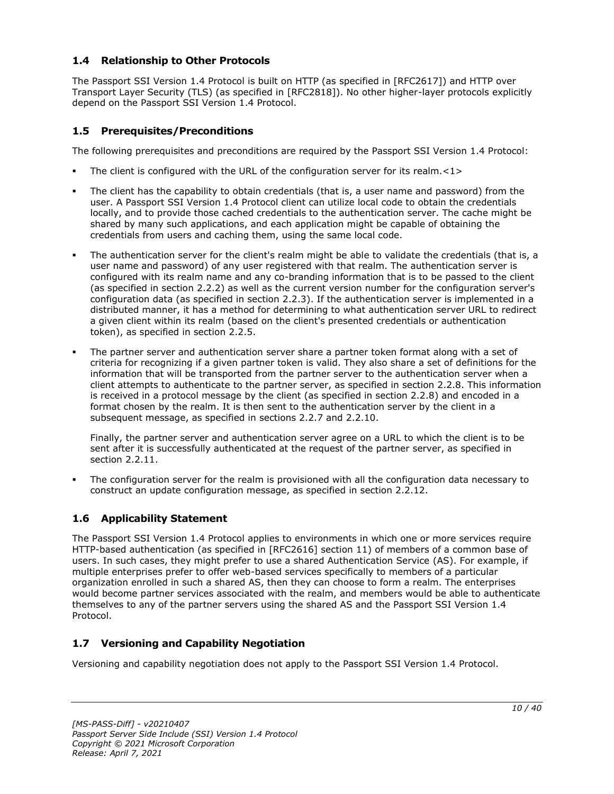## <span id="page-9-0"></span>**1.4 Relationship to Other Protocols**

The Passport SSI Version 1.4 Protocol is built on HTTP (as specified in [RFC2617]) and HTTP over Transport Layer Security (TLS) (as specified in [RFC2818]). No other higher-layer protocols explicitly depend on the Passport SSI Version 1.4 Protocol.

## <span id="page-9-1"></span>**1.5 Prerequisites/Preconditions**

The following prerequisites and preconditions are required by the Passport SSI Version 1.4 Protocol:

- The client is configured with the URL of the configuration server for its realm. $\langle 1 \rangle$
- The client has the capability to obtain credentials (that is, a user name and password) from the user. A Passport SSI Version 1.4 Protocol client can utilize local code to obtain the credentials locally, and to provide those cached credentials to the authentication server. The cache might be shared by many such applications, and each application might be capable of obtaining the credentials from users and caching them, using the same local code.
- The authentication server for the client's realm might be able to validate the credentials (that is, a user name and password) of any user registered with that realm. The authentication server is configured with its realm name and any co-branding information that is to be passed to the client (as specified in section 2.2.2) as well as the current version number for the configuration server's configuration data (as specified in section 2.2.3). If the authentication server is implemented in a distributed manner, it has a method for determining to what authentication server URL to redirect a given client within its realm (based on the client's presented credentials or authentication token), as specified in section 2.2.5.
- The partner server and authentication server share a partner token format along with a set of criteria for recognizing if a given partner token is valid. They also share a set of definitions for the information that will be transported from the partner server to the authentication server when a client attempts to authenticate to the partner server, as specified in section 2.2.8. This information is received in a protocol message by the client (as specified in section 2.2.8) and encoded in a format chosen by the realm. It is then sent to the authentication server by the client in a subsequent message, as specified in sections 2.2.7 and 2.2.10.

Finally, the partner server and authentication server agree on a URL to which the client is to be sent after it is successfully authenticated at the request of the partner server, as specified in section 2.2.11.

The configuration server for the realm is provisioned with all the configuration data necessary to construct an update configuration message, as specified in section 2.2.12.

## <span id="page-9-2"></span>**1.6 Applicability Statement**

The Passport SSI Version 1.4 Protocol applies to environments in which one or more services require HTTP-based authentication (as specified in [RFC2616] section 11) of members of a common base of users. In such cases, they might prefer to use a shared Authentication Service (AS). For example, if multiple enterprises prefer to offer web-based services specifically to members of a particular organization enrolled in such a shared AS, then they can choose to form a realm. The enterprises would become partner services associated with the realm, and members would be able to authenticate themselves to any of the partner servers using the shared AS and the Passport SSI Version 1.4 Protocol.

## <span id="page-9-3"></span>**1.7 Versioning and Capability Negotiation**

Versioning and capability negotiation does not apply to the Passport SSI Version 1.4 Protocol.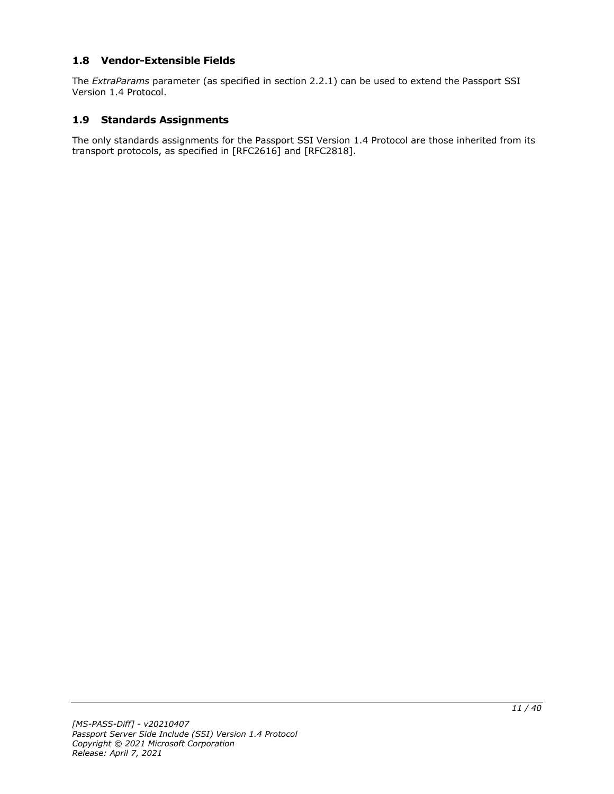## <span id="page-10-0"></span>**1.8 Vendor-Extensible Fields**

The *ExtraParams* parameter (as specified in section 2.2.1) can be used to extend the Passport SSI Version 1.4 Protocol.

#### <span id="page-10-1"></span>**1.9 Standards Assignments**

The only standards assignments for the Passport SSI Version 1.4 Protocol are those inherited from its transport protocols, as specified in [RFC2616] and [RFC2818].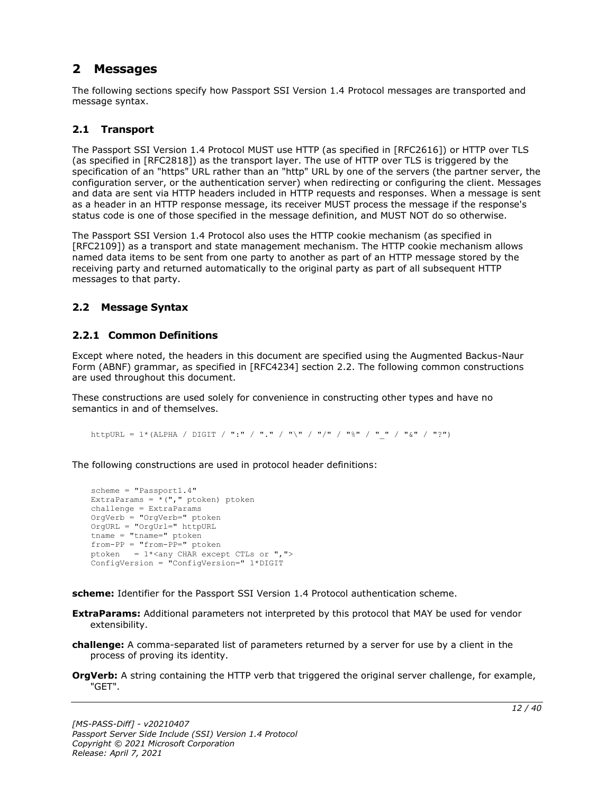# <span id="page-11-0"></span>**2 Messages**

The following sections specify how Passport SSI Version 1.4 Protocol messages are transported and message syntax.

## <span id="page-11-1"></span>**2.1 Transport**

The Passport SSI Version 1.4 Protocol MUST use HTTP (as specified in [RFC2616]) or HTTP over TLS (as specified in [RFC2818]) as the transport layer. The use of HTTP over TLS is triggered by the specification of an "https" URL rather than an "http" URL by one of the servers (the partner server, the configuration server, or the authentication server) when redirecting or configuring the client. Messages and data are sent via HTTP headers included in HTTP requests and responses. When a message is sent as a header in an HTTP response message, its receiver MUST process the message if the response's status code is one of those specified in the message definition, and MUST NOT do so otherwise.

The Passport SSI Version 1.4 Protocol also uses the HTTP cookie mechanism (as specified in [RFC2109]) as a transport and state management mechanism. The HTTP cookie mechanism allows named data items to be sent from one party to another as part of an HTTP message stored by the receiving party and returned automatically to the original party as part of all subsequent HTTP messages to that party.

## <span id="page-11-2"></span>**2.2 Message Syntax**

## <span id="page-11-3"></span>**2.2.1 Common Definitions**

Except where noted, the headers in this document are specified using the Augmented Backus-Naur Form (ABNF) grammar, as specified in [RFC4234] section 2.2. The following common constructions are used throughout this document.

These constructions are used solely for convenience in constructing other types and have no semantics in and of themselves.

httpURL = 1\*(ALPHA / DIGIT / ":" / "." / "\" / "/" / "%" / " " / "&" / "?")

The following constructions are used in protocol header definitions:

```
scheme = "Passport1.4"
ExtraParams = *(", "ptoken) ptoken
challenge = ExtraParams
OrgVerb = "OrgVerb=" ptoken 
OrgURL = "OrgUrl=" httpURL
tname = "tname="from-PP = "from-PP=" ptoken
ptoken = 1*<any CHAR except CTLs or ",">
ConfigVersion = "ConfigVersion=" 1*DIGIT
```
**scheme:** Identifier for the Passport SSI Version 1.4 Protocol authentication scheme.

- **ExtraParams:** Additional parameters not interpreted by this protocol that MAY be used for vendor extensibility.
- **challenge:** A comma-separated list of parameters returned by a server for use by a client in the process of proving its identity.
- **OrgVerb:** A string containing the HTTP verb that triggered the original server challenge, for example, "GET".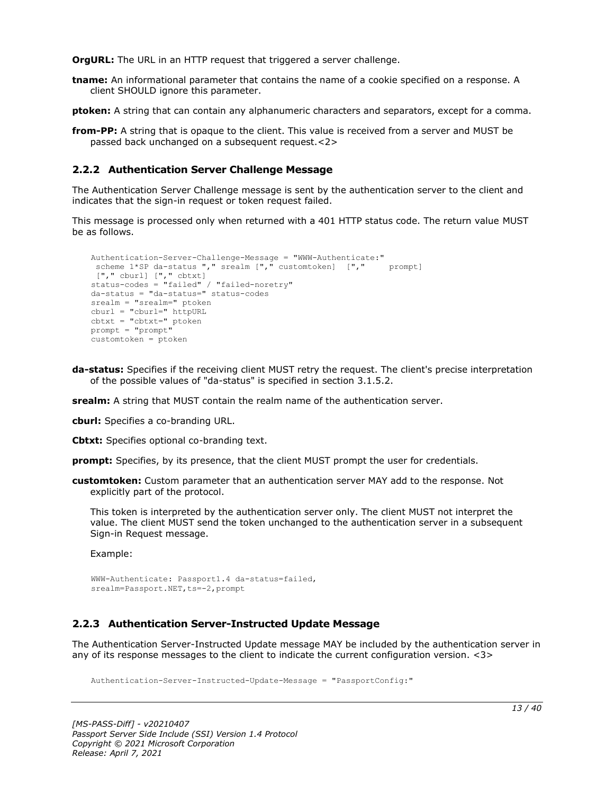**OrgURL:** The URL in an HTTP request that triggered a server challenge.

**tname:** An informational parameter that contains the name of a cookie specified on a response. A client SHOULD ignore this parameter.

**ptoken:** A string that can contain any alphanumeric characters and separators, except for a comma.

**from-PP:** A string that is opaque to the client. This value is received from a server and MUST be passed back unchanged on a subsequent request.<2>

## <span id="page-12-0"></span>**2.2.2 Authentication Server Challenge Message**

The Authentication Server Challenge message is sent by the authentication server to the client and indicates that the sign-in request or token request failed.

This message is processed only when returned with a 401 HTTP status code. The return value MUST be as follows.

```
Authentication-Server-Challenge-Message = "WWW-Authenticate:"
 scheme 1*SP da-status "," srealm ["," customtoken] ["," prompt]
["," cburl] ["," cbtxt] 
status-codes = "failed" / "failed-noretry"
da-status = "da-status=" status-codes
srealm = "srealm=" ptoken
cburl = "cburl=" httpURL
cbtxt = "cbtxt=" ptoken
prompt = "prompt"
customtoken = ptoken
```
**da-status:** Specifies if the receiving client MUST retry the request. The client's precise interpretation of the possible values of "da-status" is specified in section 3.1.5.2.

**srealm:** A string that MUST contain the realm name of the authentication server.

**cburl:** Specifies a co-branding URL.

**Cbtxt:** Specifies optional co-branding text.

**prompt:** Specifies, by its presence, that the client MUST prompt the user for credentials.

**customtoken:** Custom parameter that an authentication server MAY add to the response. Not explicitly part of the protocol.

This token is interpreted by the authentication server only. The client MUST not interpret the value. The client MUST send the token unchanged to the authentication server in a subsequent Sign-in Request message.

Example:

```
WWW-Authenticate: Passport1.4 da-status=failed,
srealm=Passport.NET, ts = - 2, prompt
```
## <span id="page-12-1"></span>**2.2.3 Authentication Server-Instructed Update Message**

The Authentication Server-Instructed Update message MAY be included by the authentication server in any of its response messages to the client to indicate the current configuration version. <3>

Authentication-Server-Instructed-Update-Message = "PassportConfig:"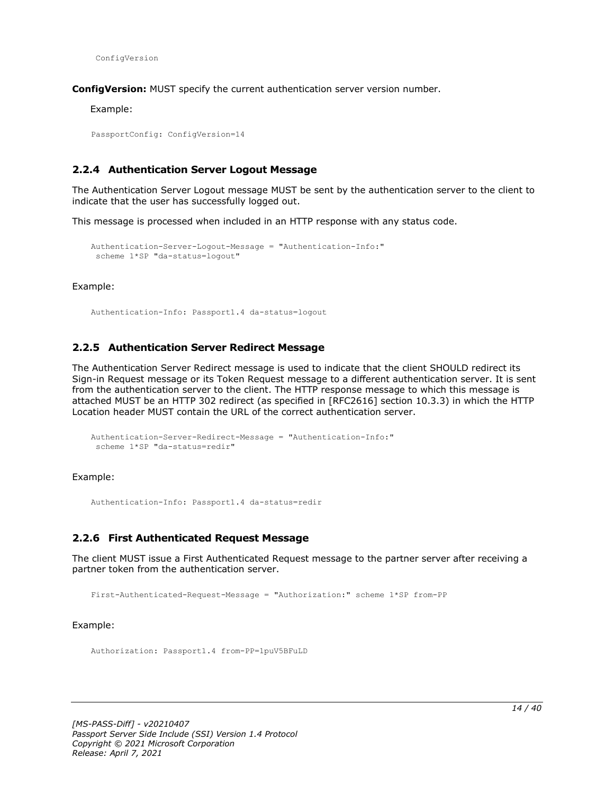ConfigVersion

**ConfigVersion:** MUST specify the current authentication server version number.

Example:

PassportConfig: ConfigVersion=14

#### <span id="page-13-0"></span>**2.2.4 Authentication Server Logout Message**

The Authentication Server Logout message MUST be sent by the authentication server to the client to indicate that the user has successfully logged out.

This message is processed when included in an HTTP response with any status code.

```
Authentication-Server-Logout-Message = "Authentication-Info:"
scheme 1*SP "da-status=logout"
```
Example:

Authentication-Info: Passport1.4 da-status=logout

#### <span id="page-13-1"></span>**2.2.5 Authentication Server Redirect Message**

The Authentication Server Redirect message is used to indicate that the client SHOULD redirect its Sign-in Request message or its Token Request message to a different authentication server. It is sent from the authentication server to the client. The HTTP response message to which this message is attached MUST be an HTTP 302 redirect (as specified in [RFC2616] section 10.3.3) in which the HTTP Location header MUST contain the URL of the correct authentication server.

```
Authentication-Server-Redirect-Message = "Authentication-Info:"
scheme 1*SP "da-status=redir"
```
Example:

Authentication-Info: Passport1.4 da-status=redir

#### <span id="page-13-2"></span>**2.2.6 First Authenticated Request Message**

The client MUST issue a First Authenticated Request message to the partner server after receiving a partner token from the authentication server.

First-Authenticated-Request-Message = "Authorization:" scheme 1\*SP from-PP

Example:

Authorization: Passport1.4 from-PP=1puV5BFuLD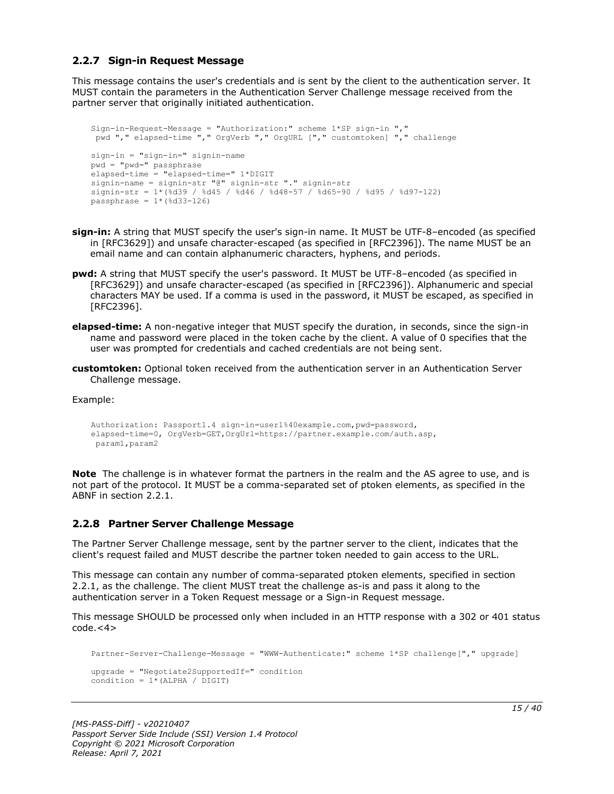## <span id="page-14-0"></span>**2.2.7 Sign-in Request Message**

This message contains the user's credentials and is sent by the client to the authentication server. It MUST contain the parameters in the Authentication Server Challenge message received from the partner server that originally initiated authentication.

```
Sign-in-Request-Message = "Authorization:" scheme 1*SP sign-in ","
pwd "," elapsed-time "," OrgVerb "," OrgURL ["," customtoken] "," challenge
sign-in = "sign-in=" signin-name
pwd = "pwd=" passphrase
elapsed-time = "elapsed-time=" 1*DIGIT
signin-name = signin-str "@" signin-str "." signin-str
signin-str = 1*(%d39 / %d45 / %d46 / %d48-57 / %d65-90 / %d95 / %d97-122)
passphrase = 1*(%d33-126)
```
- **sign-in:** A string that MUST specify the user's sign-in name. It MUST be UTF-8–encoded (as specified in [RFC3629]) and unsafe character-escaped (as specified in [RFC2396]). The name MUST be an email name and can contain alphanumeric characters, hyphens, and periods.
- **pwd:** A string that MUST specify the user's password. It MUST be UTF-8–encoded (as specified in [RFC3629]) and unsafe character-escaped (as specified in [RFC2396]). Alphanumeric and special characters MAY be used. If a comma is used in the password, it MUST be escaped, as specified in [RFC2396].
- **elapsed-time:** A non-negative integer that MUST specify the duration, in seconds, since the sign-in name and password were placed in the token cache by the client. A value of 0 specifies that the user was prompted for credentials and cached credentials are not being sent.
- **customtoken:** Optional token received from the authentication server in an Authentication Server Challenge message.

Example:

```
Authorization: Passport1.4 sign-in=user1%40example.com,pwd=password,
elapsed-time=0, OrgVerb=GET,OrgUrl=https://partner.example.com/auth.asp,
param1,param2
```
**Note** The challenge is in whatever format the partners in the realm and the AS agree to use, and is not part of the protocol. It MUST be a comma-separated set of ptoken elements, as specified in the ABNF in section 2.2.1.

#### <span id="page-14-1"></span>**2.2.8 Partner Server Challenge Message**

The Partner Server Challenge message, sent by the partner server to the client, indicates that the client's request failed and MUST describe the partner token needed to gain access to the URL.

This message can contain any number of comma-separated ptoken elements, specified in section 2.2.1, as the challenge. The client MUST treat the challenge as-is and pass it along to the authentication server in a Token Request message or a Sign-in Request message.

This message SHOULD be processed only when included in an HTTP response with a 302 or 401 status  $code.<<sub>4</sub>$ 

```
Partner-Server-Challenge-Message = "WWW-Authenticate:" scheme 1*SP challenge["," upgrade]
upgrade = "Negotiate2SupportedIf=" condition
condition = 1*(ALPHA / DIGIT)
```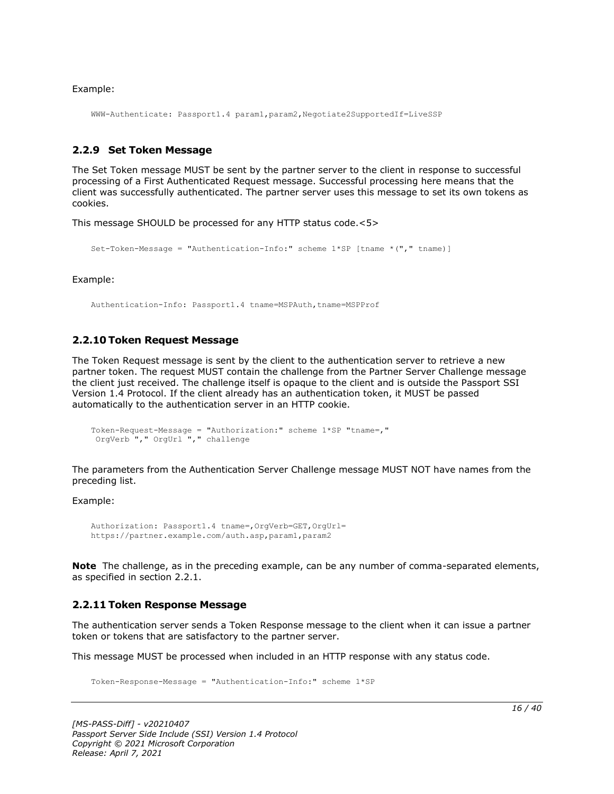Example:

WWW-Authenticate: Passport1.4 param1,param2,Negotiate2SupportedIf=LiveSSP

#### <span id="page-15-0"></span>**2.2.9 Set Token Message**

The Set Token message MUST be sent by the partner server to the client in response to successful processing of a First Authenticated Request message. Successful processing here means that the client was successfully authenticated. The partner server uses this message to set its own tokens as cookies.

This message SHOULD be processed for any HTTP status code.<5>

```
Set-Token-Message = "Authentication-Info:" scheme 1*SP [tname *("," tname)]
```
Example:

Authentication-Info: Passport1.4 tname=MSPAuth,tname=MSPProf

#### <span id="page-15-1"></span>**2.2.10 Token Request Message**

The Token Request message is sent by the client to the authentication server to retrieve a new partner token. The request MUST contain the challenge from the Partner Server Challenge message the client just received. The challenge itself is opaque to the client and is outside the Passport SSI Version 1.4 Protocol. If the client already has an authentication token, it MUST be passed automatically to the authentication server in an HTTP cookie.

```
Token-Request-Message = "Authorization:" scheme 1*SP "tname=,"
OrgVerb "," OrgUrl "," challenge
```
The parameters from the Authentication Server Challenge message MUST NOT have names from the preceding list.

Example:

```
Authorization: Passport1.4 tname=,OrgVerb=GET,OrgUrl=
https://partner.example.com/auth.asp,param1,param2
```
**Note** The challenge, as in the preceding example, can be any number of comma-separated elements, as specified in section 2.2.1.

#### <span id="page-15-2"></span>**2.2.11 Token Response Message**

The authentication server sends a Token Response message to the client when it can issue a partner token or tokens that are satisfactory to the partner server.

This message MUST be processed when included in an HTTP response with any status code.

Token-Response-Message = "Authentication-Info:" scheme 1\*SP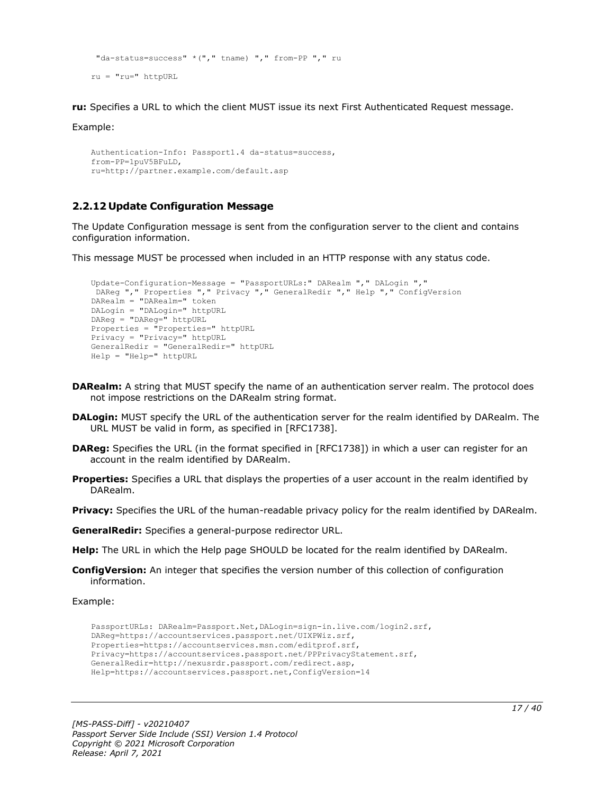```
"da-status=success" *("," tname) "," from-PP "," ru
ru = "ru=" httpURL
```
**ru:** Specifies a URL to which the client MUST issue its next First Authenticated Request message.

Example:

```
Authentication-Info: Passport1.4 da-status=success,
from-PP=1puV5BFuLD,
ru=http://partner.example.com/default.asp
```
## <span id="page-16-0"></span>**2.2.12 Update Configuration Message**

The Update Configuration message is sent from the configuration server to the client and contains configuration information.

This message MUST be processed when included in an HTTP response with any status code.

```
Update-Configuration-Message = "PassportURLs:" DARealm "," DALogin ","
DAReg "," Properties "," Privacy "," GeneralRedir "," Help "," ConfigVersion
DARealm = "DARealm=" token
DALogin = "DALogin=" httpURL
DAReg = "DAReg=" httpURL
Properties = "Properties=" httpURL
Privacy = "Privacy=" httpURL
GeneralRedir = "GeneralRedir=" httpURL
Help = "Help=" httpURL
```
- **DARealm:** A string that MUST specify the name of an authentication server realm. The protocol does not impose restrictions on the DARealm string format.
- **DALogin:** MUST specify the URL of the authentication server for the realm identified by DARealm. The URL MUST be valid in form, as specified in [RFC1738].
- **DAReg:** Specifies the URL (in the format specified in [RFC1738]) in which a user can register for an account in the realm identified by DARealm.
- **Properties:** Specifies a URL that displays the properties of a user account in the realm identified by DARealm.

**Privacy:** Specifies the URL of the human-readable privacy policy for the realm identified by DARealm.

**GeneralRedir:** Specifies a general-purpose redirector URL.

**Help:** The URL in which the Help page SHOULD be located for the realm identified by DARealm.

**ConfigVersion:** An integer that specifies the version number of this collection of configuration information.

Example:

```
PassportURLs: DARealm=Passport.Net,DALogin=sign-in.live.com/login2.srf,
DAReg=https://accountservices.passport.net/UIXPWiz.srf,
Properties=https://accountservices.msn.com/editprof.srf,
Privacy=https://accountservices.passport.net/PPPrivacyStatement.srf,
GeneralRedir=http://nexusrdr.passport.com/redirect.asp,
Help=https://accountservices.passport.net,ConfigVersion=14
```
*[MS-PASS-Diff] - v20210407 Passport Server Side Include (SSI) Version 1.4 Protocol Copyright © 2021 Microsoft Corporation Release: April 7, 2021*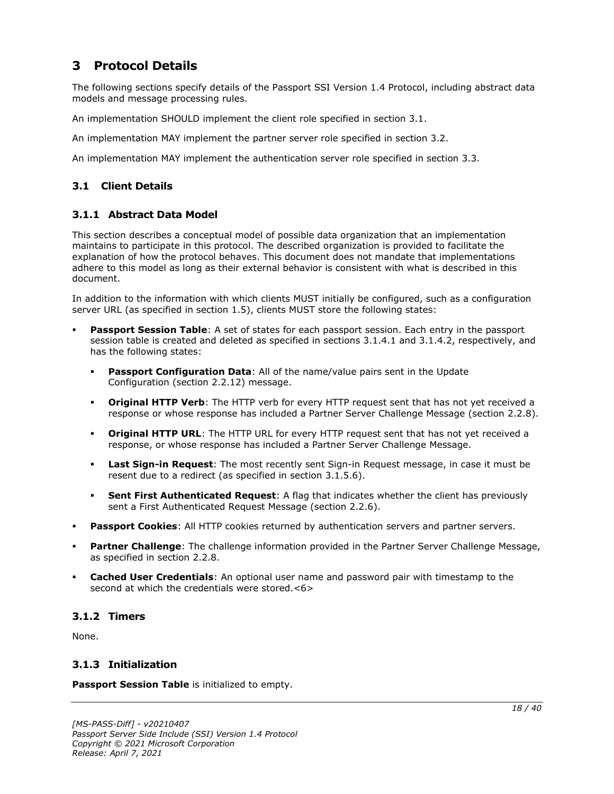# <span id="page-17-0"></span>**3 Protocol Details**

The following sections specify details of the Passport SSI Version 1.4 Protocol, including abstract data models and message processing rules.

An implementation SHOULD implement the client role specified in section 3.1.

An implementation MAY implement the partner server role specified in section 3.2.

An implementation MAY implement the authentication server role specified in section 3.3.

## <span id="page-17-1"></span>**3.1 Client Details**

## <span id="page-17-2"></span>**3.1.1 Abstract Data Model**

This section describes a conceptual model of possible data organization that an implementation maintains to participate in this protocol. The described organization is provided to facilitate the explanation of how the protocol behaves. This document does not mandate that implementations adhere to this model as long as their external behavior is consistent with what is described in this document.

In addition to the information with which clients MUST initially be configured, such as a configuration server URL (as specified in section 1.5), clients MUST store the following states:

- **Passport Session Table**: A set of states for each passport session. Each entry in the passport session table is created and deleted as specified in sections 3.1.4.1 and 3.1.4.2, respectively, and has the following states:
	- **Passport Configuration Data**: All of the name/value pairs sent in the Update Configuration (section 2.2.12) message.
	- **Original HTTP Verb**: The HTTP verb for every HTTP request sent that has not yet received a response or whose response has included a Partner Server Challenge Message (section 2.2.8).
	- **Original HTTP URL**: The HTTP URL for every HTTP request sent that has not yet received a response, or whose response has included a Partner Server Challenge Message.
	- **Last Sign-in Request**: The most recently sent Sign-in Request message, in case it must be resent due to a redirect (as specified in section 3.1.5.6).
	- **Sent First Authenticated Request**: A flag that indicates whether the client has previously sent a First Authenticated Request Message (section 2.2.6).
- **Passport Cookies:** All HTTP cookies returned by authentication servers and partner servers.
- Partner Challenge: The challenge information provided in the Partner Server Challenge Message, as specified in section 2.2.8.
- **Cached User Credentials:** An optional user name and password pair with timestamp to the second at which the credentials were stored.<6>

## <span id="page-17-3"></span>**3.1.2 Timers**

None.

## <span id="page-17-4"></span>**3.1.3 Initialization**

**Passport Session Table** is initialized to empty.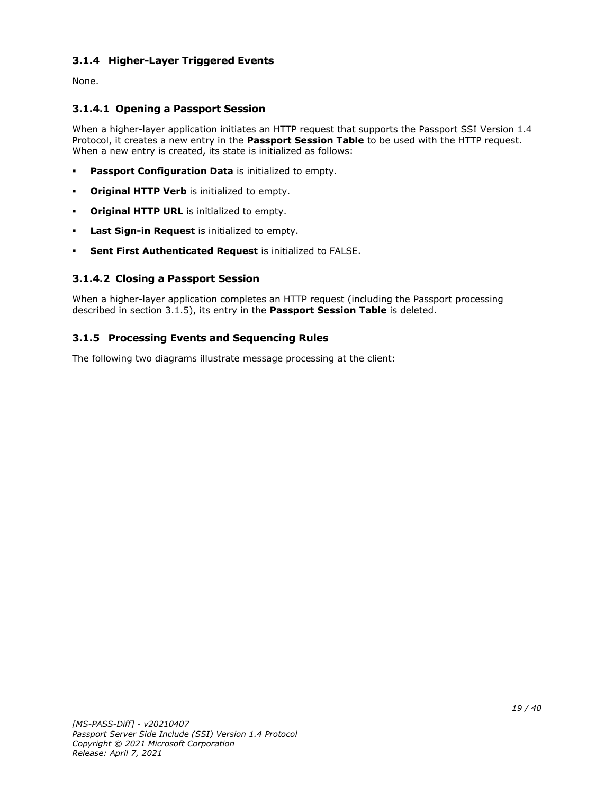# <span id="page-18-0"></span>**3.1.4 Higher-Layer Triggered Events**

None.

## <span id="page-18-1"></span>**3.1.4.1 Opening a Passport Session**

When a higher-layer application initiates an HTTP request that supports the Passport SSI Version 1.4 Protocol, it creates a new entry in the **Passport Session Table** to be used with the HTTP request. When a new entry is created, its state is initialized as follows:

- **Passport Configuration Data** is initialized to empty.
- **Original HTTP Verb** is initialized to empty.
- **Original HTTP URL** is initialized to empty.
- Last Sign-in Request is initialized to empty.
- **Sent First Authenticated Request** is initialized to FALSE.

## <span id="page-18-2"></span>**3.1.4.2 Closing a Passport Session**

When a higher-layer application completes an HTTP request (including the Passport processing described in section 3.1.5), its entry in the **Passport Session Table** is deleted.

## <span id="page-18-3"></span>**3.1.5 Processing Events and Sequencing Rules**

The following two diagrams illustrate message processing at the client: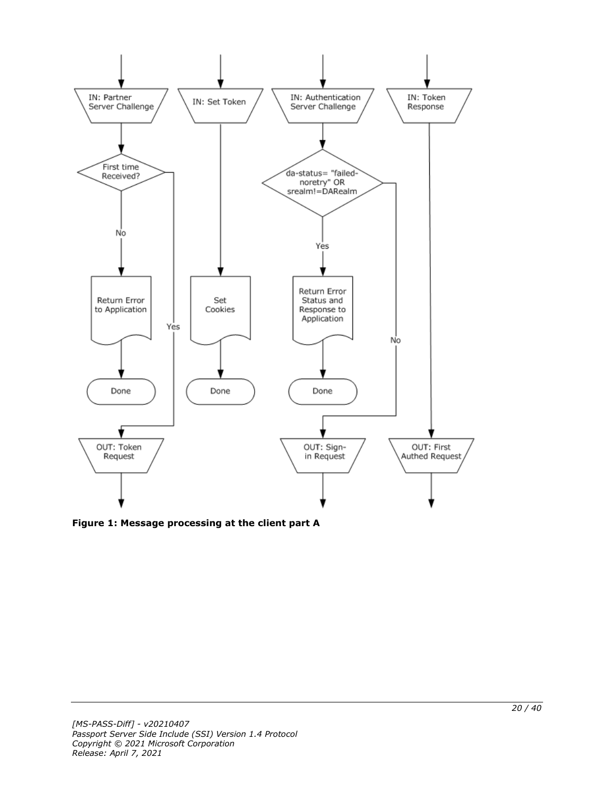

**Figure 1: Message processing at the client part A**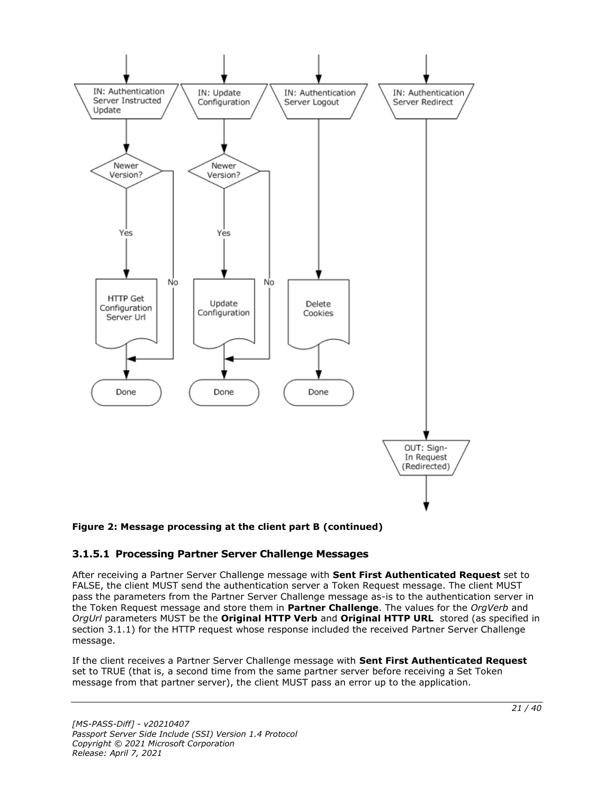

## **Figure 2: Message processing at the client part B (continued)**

## <span id="page-20-0"></span>**3.1.5.1 Processing Partner Server Challenge Messages**

After receiving a Partner Server Challenge message with **Sent First Authenticated Request** set to FALSE, the client MUST send the authentication server a Token Request message. The client MUST pass the parameters from the Partner Server Challenge message as-is to the authentication server in the Token Request message and store them in **Partner Challenge**. The values for the *OrgVerb* and *OrgUrl* parameters MUST be the **Original HTTP Verb** and **Original HTTP URL** stored (as specified in section 3.1.1) for the HTTP request whose response included the received Partner Server Challenge message.

If the client receives a Partner Server Challenge message with **Sent First Authenticated Request** set to TRUE (that is, a second time from the same partner server before receiving a Set Token message from that partner server), the client MUST pass an error up to the application.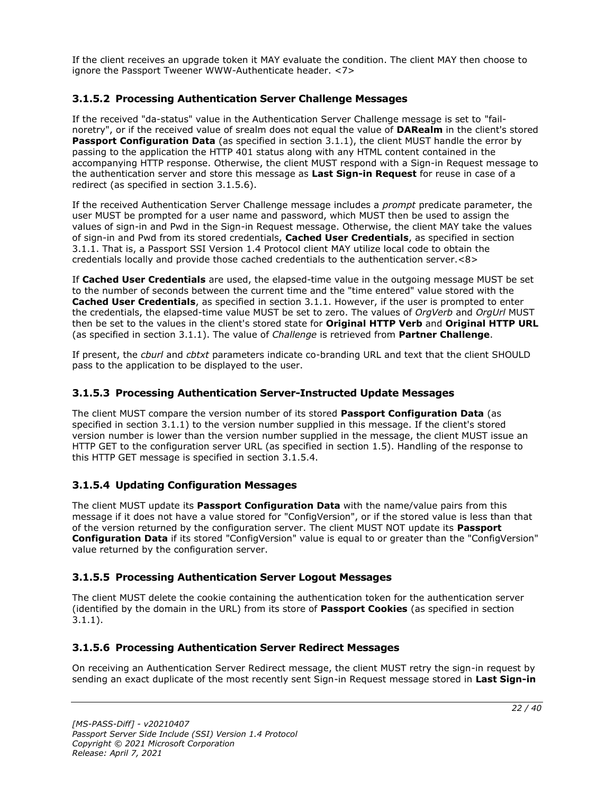If the client receives an upgrade token it MAY evaluate the condition. The client MAY then choose to ignore the Passport Tweener WWW-Authenticate header. <7>

## <span id="page-21-0"></span>**3.1.5.2 Processing Authentication Server Challenge Messages**

If the received "da-status" value in the Authentication Server Challenge message is set to "failnoretry", or if the received value of srealm does not equal the value of **DARealm** in the client's stored Passport Configuration Data (as specified in section 3.1.1), the client MUST handle the error by passing to the application the HTTP 401 status along with any HTML content contained in the accompanying HTTP response. Otherwise, the client MUST respond with a Sign-in Request message to the authentication server and store this message as **Last Sign-in Request** for reuse in case of a redirect (as specified in section 3.1.5.6).

If the received Authentication Server Challenge message includes a *prompt* predicate parameter, the user MUST be prompted for a user name and password, which MUST then be used to assign the values of sign-in and Pwd in the Sign-in Request message. Otherwise, the client MAY take the values of sign-in and Pwd from its stored credentials, **Cached User Credentials**, as specified in section 3.1.1. That is, a Passport SSI Version 1.4 Protocol client MAY utilize local code to obtain the credentials locally and provide those cached credentials to the authentication server.<8>

If **Cached User Credentials** are used, the elapsed-time value in the outgoing message MUST be set to the number of seconds between the current time and the "time entered" value stored with the **Cached User Credentials**, as specified in section 3.1.1. However, if the user is prompted to enter the credentials, the elapsed-time value MUST be set to zero. The values of *OrgVerb* and *OrgUrl* MUST then be set to the values in the client's stored state for **Original HTTP Verb** and **Original HTTP URL** (as specified in section 3.1.1). The value of *Challenge* is retrieved from **Partner Challenge**.

If present, the *cburl* and *cbtxt* parameters indicate co-branding URL and text that the client SHOULD pass to the application to be displayed to the user.

## <span id="page-21-1"></span>**3.1.5.3 Processing Authentication Server-Instructed Update Messages**

The client MUST compare the version number of its stored **Passport Configuration Data** (as specified in section 3.1.1) to the version number supplied in this message. If the client's stored version number is lower than the version number supplied in the message, the client MUST issue an HTTP GET to the configuration server URL (as specified in section 1.5). Handling of the response to this HTTP GET message is specified in section 3.1.5.4.

## <span id="page-21-2"></span>**3.1.5.4 Updating Configuration Messages**

The client MUST update its **Passport Configuration Data** with the name/value pairs from this message if it does not have a value stored for "ConfigVersion", or if the stored value is less than that of the version returned by the configuration server. The client MUST NOT update its **Passport Configuration Data** if its stored "ConfigVersion" value is equal to or greater than the "ConfigVersion" value returned by the configuration server.

## <span id="page-21-3"></span>**3.1.5.5 Processing Authentication Server Logout Messages**

The client MUST delete the cookie containing the authentication token for the authentication server (identified by the domain in the URL) from its store of **Passport Cookies** (as specified in section 3.1.1).

## <span id="page-21-4"></span>**3.1.5.6 Processing Authentication Server Redirect Messages**

On receiving an Authentication Server Redirect message, the client MUST retry the sign-in request by sending an exact duplicate of the most recently sent Sign-in Request message stored in **Last Sign-in**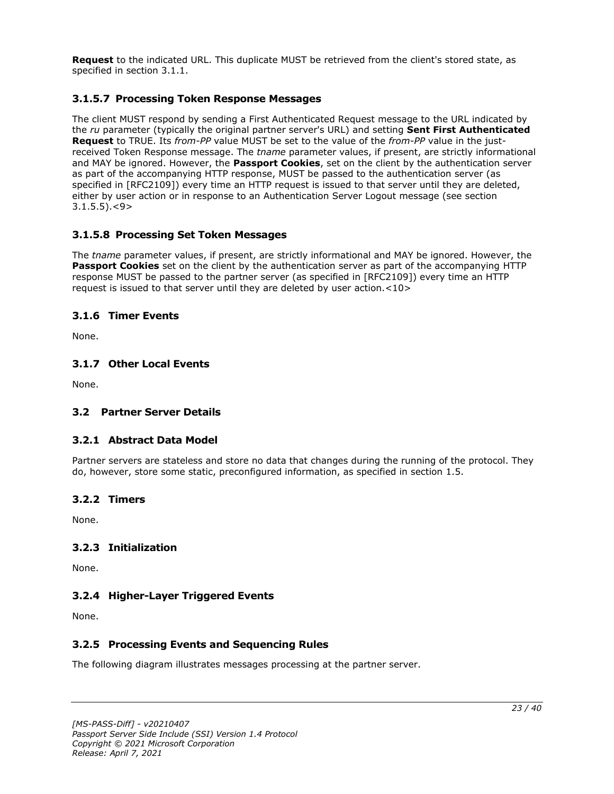**Request** to the indicated URL. This duplicate MUST be retrieved from the client's stored state, as specified in section 3.1.1.

## <span id="page-22-0"></span>**3.1.5.7 Processing Token Response Messages**

The client MUST respond by sending a First Authenticated Request message to the URL indicated by the *ru* parameter (typically the original partner server's URL) and setting **Sent First Authenticated Request** to TRUE. Its *from-PP* value MUST be set to the value of the *from-PP* value in the justreceived Token Response message. The *tname* parameter values, if present, are strictly informational and MAY be ignored. However, the **Passport Cookies**, set on the client by the authentication server as part of the accompanying HTTP response, MUST be passed to the authentication server (as specified in [RFC2109]) every time an HTTP request is issued to that server until they are deleted, either by user action or in response to an Authentication Server Logout message (see section  $3.1.5.5$ ). $<$ 9>

## <span id="page-22-1"></span>**3.1.5.8 Processing Set Token Messages**

The *tname* parameter values, if present, are strictly informational and MAY be ignored. However, the **Passport Cookies** set on the client by the authentication server as part of the accompanying HTTP response MUST be passed to the partner server (as specified in [RFC2109]) every time an HTTP request is issued to that server until they are deleted by user action.<10>

## <span id="page-22-2"></span>**3.1.6 Timer Events**

None.

## <span id="page-22-3"></span>**3.1.7 Other Local Events**

None.

## <span id="page-22-5"></span><span id="page-22-4"></span>**3.2 Partner Server Details**

## **3.2.1 Abstract Data Model**

Partner servers are stateless and store no data that changes during the running of the protocol. They do, however, store some static, preconfigured information, as specified in section 1.5.

#### <span id="page-22-6"></span>**3.2.2 Timers**

None.

## <span id="page-22-7"></span>**3.2.3 Initialization**

None.

## <span id="page-22-8"></span>**3.2.4 Higher-Layer Triggered Events**

None.

## <span id="page-22-9"></span>**3.2.5 Processing Events and Sequencing Rules**

The following diagram illustrates messages processing at the partner server.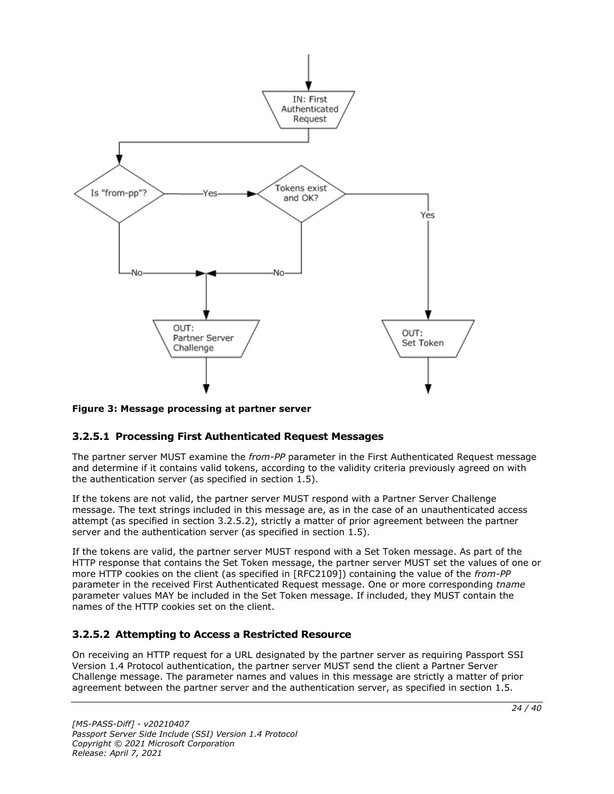

## **Figure 3: Message processing at partner server**

## <span id="page-23-0"></span>**3.2.5.1 Processing First Authenticated Request Messages**

The partner server MUST examine the *from-PP* parameter in the First Authenticated Request message and determine if it contains valid tokens, according to the validity criteria previously agreed on with the authentication server (as specified in section  $1.5$ ).

If the tokens are not valid, the partner server MUST respond with a Partner Server Challenge message. The text strings included in this message are, as in the case of an unauthenticated access attempt (as specified in section 3.2.5.2), strictly a matter of prior agreement between the partner server and the authentication server (as specified in section 1.5).

If the tokens are valid, the partner server MUST respond with a Set Token message. As part of the HTTP response that contains the Set Token message, the partner server MUST set the values of one or more HTTP cookies on the client (as specified in [RFC2109]) containing the value of the *from-PP* parameter in the received First Authenticated Request message. One or more corresponding *tname* parameter values MAY be included in the Set Token message. If included, they MUST contain the names of the HTTP cookies set on the client.

## <span id="page-23-1"></span>**3.2.5.2 Attempting to Access a Restricted Resource**

On receiving an HTTP request for a URL designated by the partner server as requiring Passport SSI Version 1.4 Protocol authentication, the partner server MUST send the client a Partner Server Challenge message. The parameter names and values in this message are strictly a matter of prior agreement between the partner server and the authentication server, as specified in section 1.5.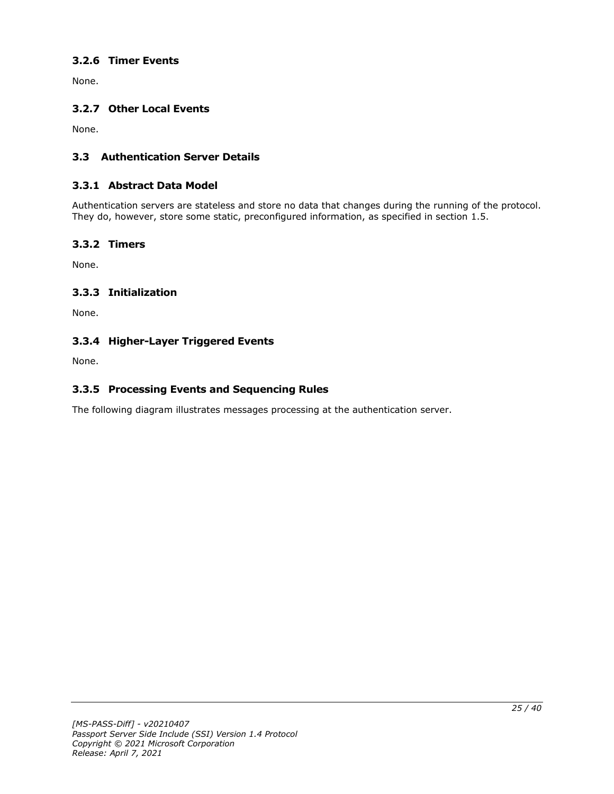# <span id="page-24-0"></span>**3.2.6 Timer Events**

None.

## <span id="page-24-1"></span>**3.2.7 Other Local Events**

None.

## <span id="page-24-2"></span>**3.3 Authentication Server Details**

## <span id="page-24-3"></span>**3.3.1 Abstract Data Model**

Authentication servers are stateless and store no data that changes during the running of the protocol. They do, however, store some static, preconfigured information, as specified in section 1.5.

## <span id="page-24-4"></span>**3.3.2 Timers**

None.

## <span id="page-24-5"></span>**3.3.3 Initialization**

None.

## <span id="page-24-6"></span>**3.3.4 Higher-Layer Triggered Events**

None.

## <span id="page-24-7"></span>**3.3.5 Processing Events and Sequencing Rules**

The following diagram illustrates messages processing at the authentication server.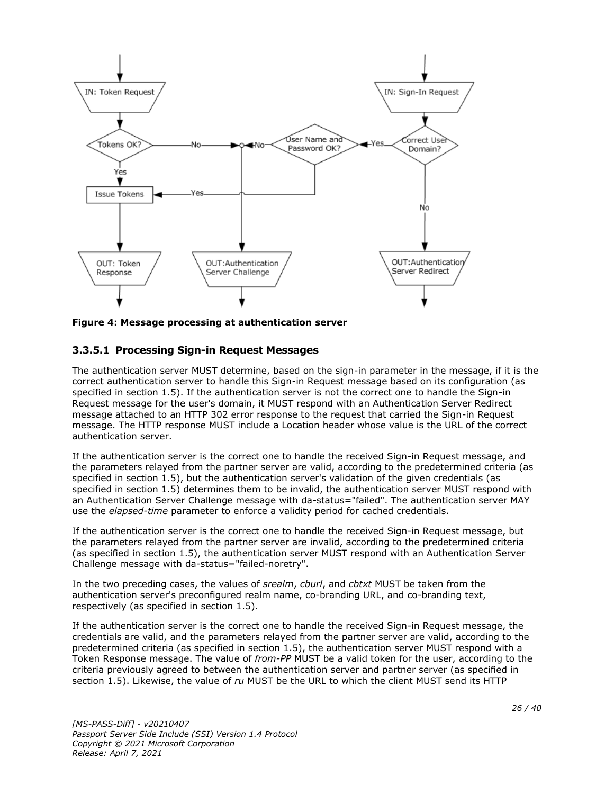

**Figure 4: Message processing at authentication server**

## <span id="page-25-0"></span>**3.3.5.1 Processing Sign-in Request Messages**

The authentication server MUST determine, based on the sign-in parameter in the message, if it is the correct authentication server to handle this Sign-in Request message based on its configuration (as specified in section 1.5). If the authentication server is not the correct one to handle the Sign-in Request message for the user's domain, it MUST respond with an Authentication Server Redirect message attached to an HTTP 302 error response to the request that carried the Sign-in Request message. The HTTP response MUST include a Location header whose value is the URL of the correct authentication server.

If the authentication server is the correct one to handle the received Sign-in Request message, and the parameters relayed from the partner server are valid, according to the predetermined criteria (as specified in section 1.5), but the authentication server's validation of the given credentials (as specified in section 1.5) determines them to be invalid, the authentication server MUST respond with an Authentication Server Challenge message with da-status="failed". The authentication server MAY use the *elapsed-time* parameter to enforce a validity period for cached credentials.

If the authentication server is the correct one to handle the received Sign-in Request message, but the parameters relayed from the partner server are invalid, according to the predetermined criteria (as specified in section 1.5), the authentication server MUST respond with an Authentication Server Challenge message with da-status="failed-noretry".

In the two preceding cases, the values of *srealm*, *cburl*, and *cbtxt* MUST be taken from the authentication server's preconfigured realm name, co-branding URL, and co-branding text, respectively (as specified in section 1.5).

If the authentication server is the correct one to handle the received Sign-in Request message, the credentials are valid, and the parameters relayed from the partner server are valid, according to the predetermined criteria (as specified in section 1.5), the authentication server MUST respond with a Token Response message. The value of *from-PP* MUST be a valid token for the user, according to the criteria previously agreed to between the authentication server and partner server (as specified in section 1.5). Likewise, the value of *ru* MUST be the URL to which the client MUST send its HTTP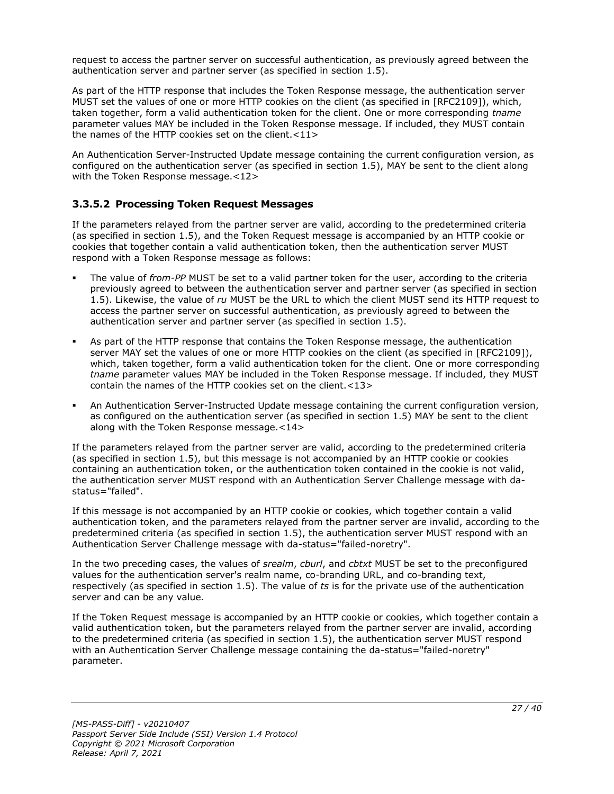request to access the partner server on successful authentication, as previously agreed between the authentication server and partner server (as specified in section 1.5).

As part of the HTTP response that includes the Token Response message, the authentication server MUST set the values of one or more HTTP cookies on the client (as specified in [RFC2109]), which, taken together, form a valid authentication token for the client. One or more corresponding *tname* parameter values MAY be included in the Token Response message. If included, they MUST contain the names of the HTTP cookies set on the client.<11>

An Authentication Server-Instructed Update message containing the current configuration version, as configured on the authentication server (as specified in section 1.5), MAY be sent to the client along with the Token Response message.<12>

## <span id="page-26-0"></span>**3.3.5.2 Processing Token Request Messages**

If the parameters relayed from the partner server are valid, according to the predetermined criteria (as specified in section 1.5), and the Token Request message is accompanied by an HTTP cookie or cookies that together contain a valid authentication token, then the authentication server MUST respond with a Token Response message as follows:

- The value of *from-PP* MUST be set to a valid partner token for the user, according to the criteria previously agreed to between the authentication server and partner server (as specified in section 1.5). Likewise, the value of *ru* MUST be the URL to which the client MUST send its HTTP request to access the partner server on successful authentication, as previously agreed to between the authentication server and partner server (as specified in section 1.5).
- As part of the HTTP response that contains the Token Response message, the authentication server MAY set the values of one or more HTTP cookies on the client (as specified in [RFC2109]), which, taken together, form a valid authentication token for the client. One or more corresponding *tname* parameter values MAY be included in the Token Response message. If included, they MUST contain the names of the HTTP cookies set on the client.<13>
- An Authentication Server-Instructed Update message containing the current configuration version, as configured on the authentication server (as specified in section 1.5) MAY be sent to the client along with the Token Response message.<14>

If the parameters relayed from the partner server are valid, according to the predetermined criteria (as specified in section 1.5), but this message is not accompanied by an HTTP cookie or cookies containing an authentication token, or the authentication token contained in the cookie is not valid, the authentication server MUST respond with an Authentication Server Challenge message with dastatus="failed".

If this message is not accompanied by an HTTP cookie or cookies, which together contain a valid authentication token, and the parameters relayed from the partner server are invalid, according to the predetermined criteria (as specified in section 1.5), the authentication server MUST respond with an Authentication Server Challenge message with da-status="failed-noretry".

In the two preceding cases, the values of *srealm*, *cburl*, and *cbtxt* MUST be set to the preconfigured values for the authentication server's realm name, co-branding URL, and co-branding text, respectively (as specified in section 1.5). The value of *ts* is for the private use of the authentication server and can be any value.

If the Token Request message is accompanied by an HTTP cookie or cookies, which together contain a valid authentication token, but the parameters relayed from the partner server are invalid, according to the predetermined criteria (as specified in section 1.5), the authentication server MUST respond with an Authentication Server Challenge message containing the da-status="failed-noretry" parameter.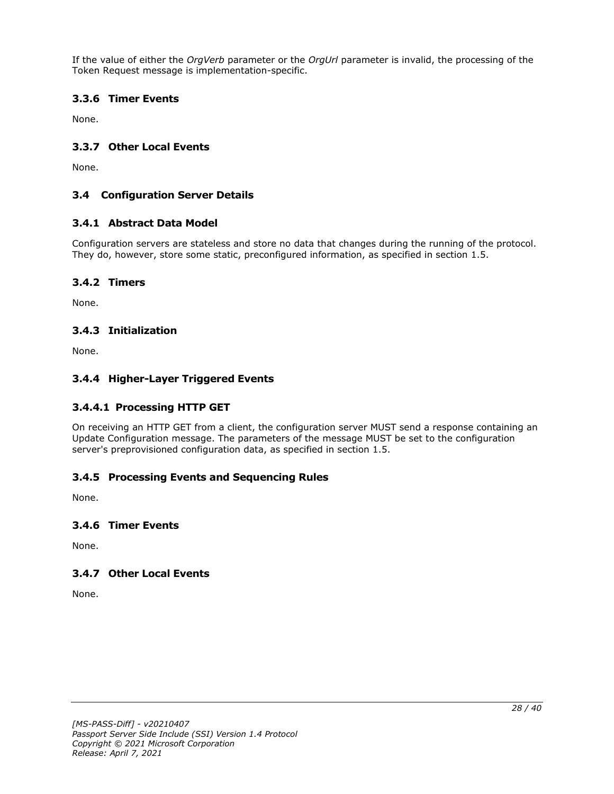If the value of either the *OrgVerb* parameter or the *OrgUrl* parameter is invalid, the processing of the Token Request message is implementation-specific.

## <span id="page-27-0"></span>**3.3.6 Timer Events**

None.

## <span id="page-27-1"></span>**3.3.7 Other Local Events**

None.

## <span id="page-27-2"></span>**3.4 Configuration Server Details**

## <span id="page-27-3"></span>**3.4.1 Abstract Data Model**

Configuration servers are stateless and store no data that changes during the running of the protocol. They do, however, store some static, preconfigured information, as specified in section 1.5.

## <span id="page-27-4"></span>**3.4.2 Timers**

None.

## <span id="page-27-5"></span>**3.4.3 Initialization**

None.

## <span id="page-27-6"></span>**3.4.4 Higher-Layer Triggered Events**

## <span id="page-27-7"></span>**3.4.4.1 Processing HTTP GET**

On receiving an HTTP GET from a client, the configuration server MUST send a response containing an Update Configuration message. The parameters of the message MUST be set to the configuration server's preprovisioned configuration data, as specified in section 1.5.

## <span id="page-27-8"></span>**3.4.5 Processing Events and Sequencing Rules**

None.

#### <span id="page-27-9"></span>**3.4.6 Timer Events**

None.

## <span id="page-27-10"></span>**3.4.7 Other Local Events**

None.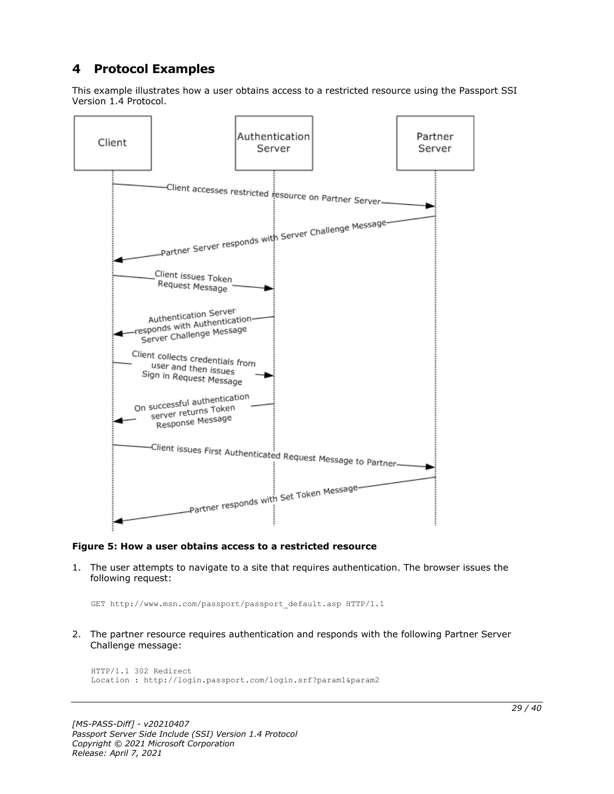# <span id="page-28-0"></span>**4 Protocol Examples**

This example illustrates how a user obtains access to a restricted resource using the Passport SSI Version 1.4 Protocol.



#### **Figure 5: How a user obtains access to a restricted resource**

1. The user attempts to navigate to a site that requires authentication. The browser issues the following request:

GET http://www.msn.com/passport/passport\_default.asp HTTP/1.1

2. The partner resource requires authentication and responds with the following Partner Server Challenge message:

```
HTTP/1.1 302 Redirect
Location : http://login.passport.com/login.srf?param1&param2
```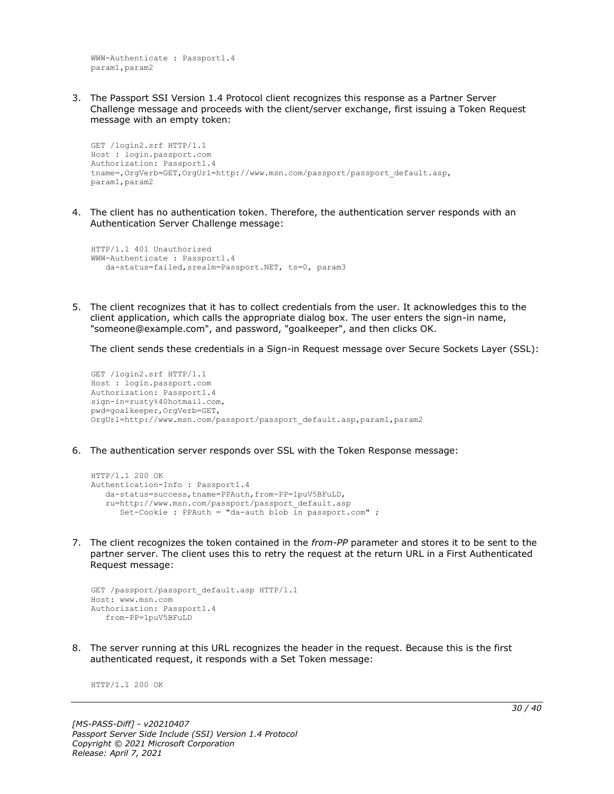WWW-Authenticate : Passport1.4 param1,param2

3. The Passport SSI Version 1.4 Protocol client recognizes this response as a Partner Server Challenge message and proceeds with the client/server exchange, first issuing a Token Request message with an empty token:

```
GET /login2.srf HTTP/1.1
Host : login.passport.com
Authorization: Passport1.4
tname=,OrgVerb=GET,OrgUrl=http://www.msn.com/passport/passport_default.asp,
param1,param2
```
4. The client has no authentication token. Therefore, the authentication server responds with an Authentication Server Challenge message:

```
HTTP/1.1 401 Unauthorized
WWW-Authenticate : Passport1.4
    da-status=failed,srealm=Passport.NET, ts=0, param3
```
5. The client recognizes that it has to collect credentials from the user. It acknowledges this to the client application, which calls the appropriate dialog box. The user enters the sign-in name, "someone@example.com", and password, "goalkeeper", and then clicks OK.

The client sends these credentials in a Sign-in Request message over Secure Sockets Layer (SSL):

```
GET /login2.srf HTTP/1.1
Host : login.passport.com
Authorization: Passport1.4
sign-in=rusty%40hotmail.com,
pwd=goalkeeper,OrgVerb=GET,
OrgUrl=http://www.msn.com/passport/passport_default.asp,param1,param2
```
6. The authentication server responds over SSL with the Token Response message:

```
HTTP/1.1 200 OK
Authentication-Info : Passport1.4
   da-status=success,tname=PPAuth,from-PP=1puV5BFuLD,
    ru=http://www.msn.com/passport/passport_default.asp
      Set-Cookie : PPAuth = "da-auth blob in passport.com" ;
```
7. The client recognizes the token contained in the *from-PP* parameter and stores it to be sent to the partner server. The client uses this to retry the request at the return URL in a First Authenticated Request message:

```
GET /passport/passport default.asp HTTP/1.1
Host: www.msn.com
Authorization: Passport1.4
    from-PP=1puV5BFuLD
```
8. The server running at this URL recognizes the header in the request. Because this is the first authenticated request, it responds with a Set Token message:

HTTP/1.1 200 OK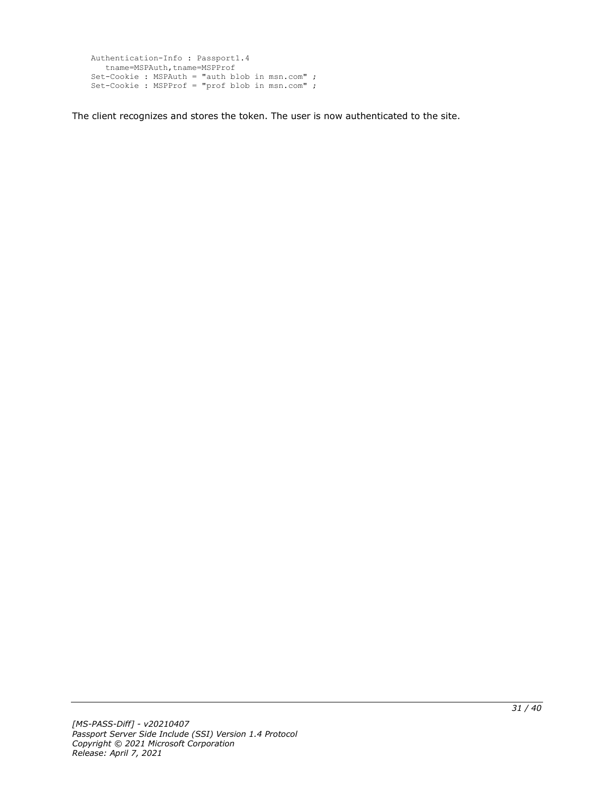```
Authentication-Info : Passport1.4
  tname=MSPAuth,tname=MSPProf
Set-Cookie : MSPAuth = "auth blob in msn.com" ;
Set-Cookie : MSPProf = "prof blob in msn.com" ;
```
The client recognizes and stores the token. The user is now authenticated to the site.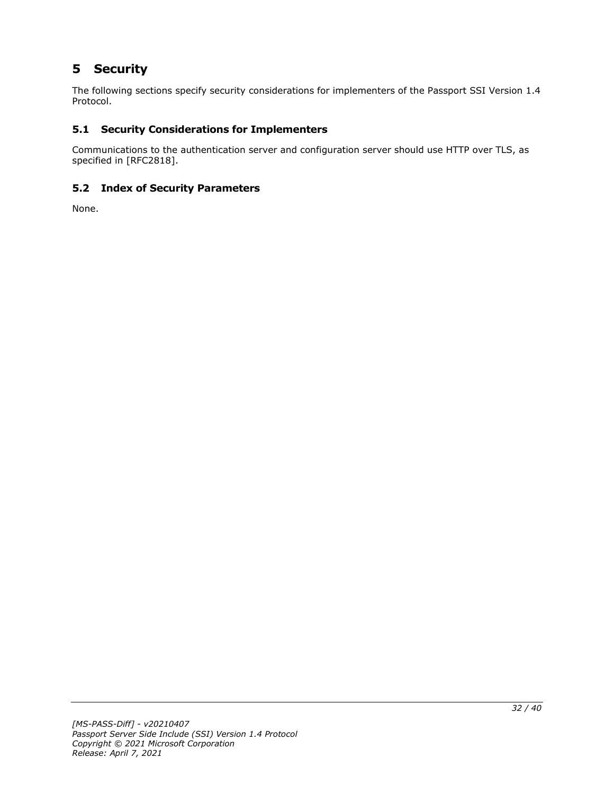# <span id="page-31-0"></span>**5 Security**

The following sections specify security considerations for implementers of the Passport SSI Version 1.4 Protocol.

# <span id="page-31-1"></span>**5.1 Security Considerations for Implementers**

Communications to the authentication server and configuration server should use HTTP over TLS, as specified in [RFC2818].

# <span id="page-31-2"></span>**5.2 Index of Security Parameters**

None.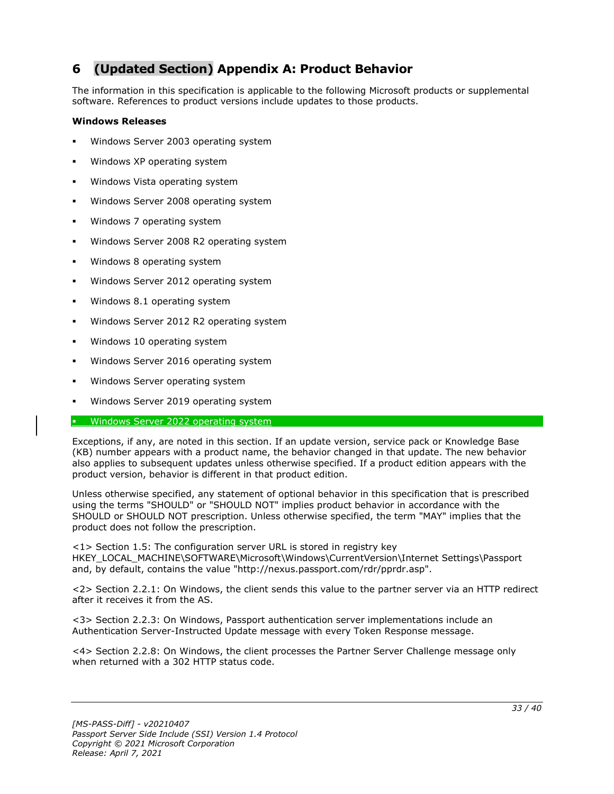# <span id="page-32-0"></span>**6 (Updated Section) Appendix A: Product Behavior**

The information in this specification is applicable to the following Microsoft products or supplemental software. References to product versions include updates to those products.

#### **Windows Releases**

- Windows Server 2003 operating system
- Windows XP operating system
- Windows Vista operating system
- Windows Server 2008 operating system
- Windows 7 operating system
- Windows Server 2008 R2 operating system
- Windows 8 operating system
- Windows Server 2012 operating system
- Windows 8.1 operating system
- Windows Server 2012 R2 operating system
- Windows 10 operating system
- Windows Server 2016 operating system
- Windows Server operating system
- Windows Server 2019 operating system

#### **• Windows Server 2022 operating system**

Exceptions, if any, are noted in this section. If an update version, service pack or Knowledge Base (KB) number appears with a product name, the behavior changed in that update. The new behavior also applies to subsequent updates unless otherwise specified. If a product edition appears with the product version, behavior is different in that product edition.

Unless otherwise specified, any statement of optional behavior in this specification that is prescribed using the terms "SHOULD" or "SHOULD NOT" implies product behavior in accordance with the SHOULD or SHOULD NOT prescription. Unless otherwise specified, the term "MAY" implies that the product does not follow the prescription.

<1> Section 1.5: The configuration server URL is stored in registry key HKEY\_LOCAL\_MACHINE\SOFTWARE\Microsoft\Windows\CurrentVersion\Internet Settings\Passport and, by default, contains the value "http://nexus.passport.com/rdr/pprdr.asp".

<2> Section 2.2.1: On Windows, the client sends this value to the partner server via an HTTP redirect after it receives it from the AS.

<3> Section 2.2.3: On Windows, Passport authentication server implementations include an Authentication Server-Instructed Update message with every Token Response message.

<4> Section 2.2.8: On Windows, the client processes the Partner Server Challenge message only when returned with a 302 HTTP status code.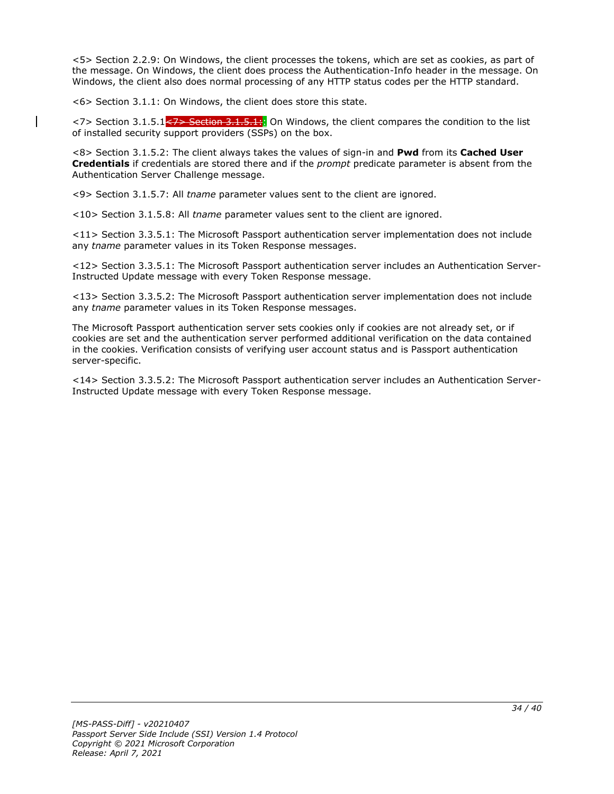<5> Section 2.2.9: On Windows, the client processes the tokens, which are set as cookies, as part of the message. On Windows, the client does process the Authentication-Info header in the message. On Windows, the client also does normal processing of any HTTP status codes per the HTTP standard.

<6> Section 3.1.1: On Windows, the client does store this state.

<7> Section 3.1.5.1<<del>7> Section 3.1.5.1:</del>: On Windows, the client compares the condition to the list of installed security support providers (SSPs) on the box.

<8> Section 3.1.5.2: The client always takes the values of sign-in and **Pwd** from its **Cached User Credentials** if credentials are stored there and if the *prompt* predicate parameter is absent from the Authentication Server Challenge message.

<9> Section 3.1.5.7: All *tname* parameter values sent to the client are ignored.

<10> Section 3.1.5.8: All *tname* parameter values sent to the client are ignored.

<11> Section 3.3.5.1: The Microsoft Passport authentication server implementation does not include any *tname* parameter values in its Token Response messages.

<12> Section 3.3.5.1: The Microsoft Passport authentication server includes an Authentication Server-Instructed Update message with every Token Response message.

<13> Section 3.3.5.2: The Microsoft Passport authentication server implementation does not include any *tname* parameter values in its Token Response messages.

The Microsoft Passport authentication server sets cookies only if cookies are not already set, or if cookies are set and the authentication server performed additional verification on the data contained in the cookies. Verification consists of verifying user account status and is Passport authentication server-specific.

<14> Section 3.3.5.2: The Microsoft Passport authentication server includes an Authentication Server-Instructed Update message with every Token Response message.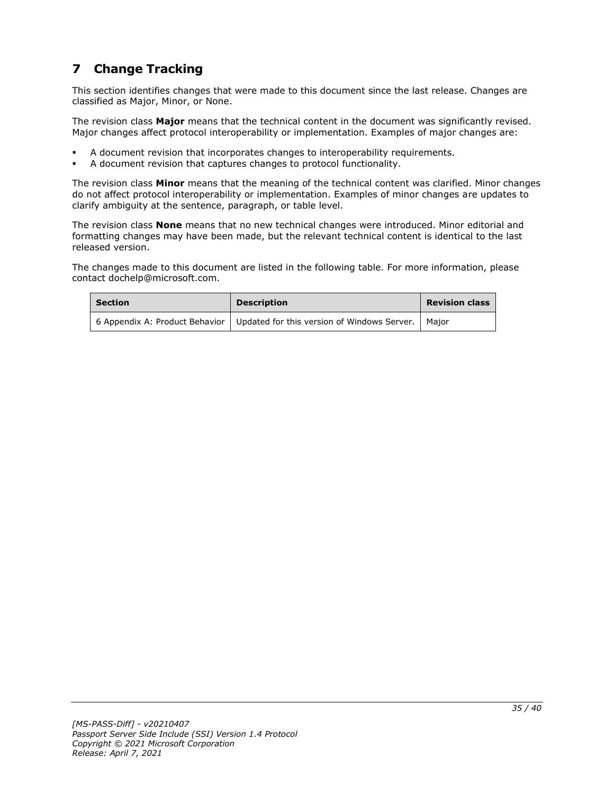# <span id="page-34-0"></span>**7 Change Tracking**

This section identifies changes that were made to this document since the last release. Changes are classified as Major, Minor, or None.

The revision class **Major** means that the technical content in the document was significantly revised. Major changes affect protocol interoperability or implementation. Examples of major changes are:

- A document revision that incorporates changes to interoperability requirements.
- A document revision that captures changes to protocol functionality.

The revision class **Minor** means that the meaning of the technical content was clarified. Minor changes do not affect protocol interoperability or implementation. Examples of minor changes are updates to clarify ambiguity at the sentence, paragraph, or table level.

The revision class **None** means that no new technical changes were introduced. Minor editorial and formatting changes may have been made, but the relevant technical content is identical to the last released version.

The changes made to this document are listed in the following table. For more information, please contact dochelp@microsoft.com.

| <b>Section</b> | <b>Description</b>                                                                   | <b>Revision class</b> |
|----------------|--------------------------------------------------------------------------------------|-----------------------|
|                | 6 Appendix A: Product Behavior   Updated for this version of Windows Server.   Major |                       |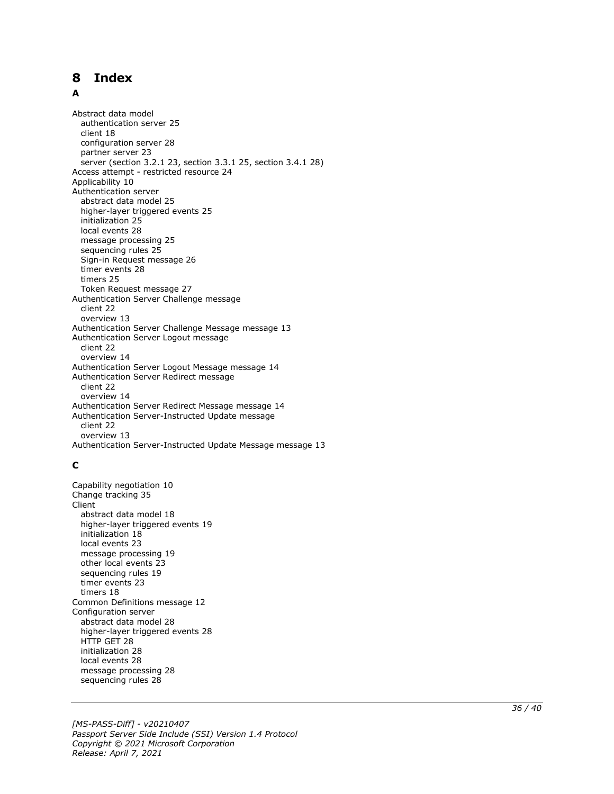# <span id="page-35-0"></span>8 Index

#### A

**Release:** The Constrained Scale (Margiar Scale (Margiar Scale Release)<br> **Release:** Applicable Theoretic 23 server (section 3.2.1<br>
Access attempt - restrangularities attempt - restrangularities at a model higher-layer trig Abstract data model authentication server 25 client 18 configuration server 28 partner server 23 server (section 3.2.1 23, section 3.3.1 25, section 3.4.1 28 ) Access attempt - restricted resource 24 Applicability 10 Authentication server abstract data model 25 higher -layer triggered events 25 initialization 25 local events 28 message processing 25 sequencing rules 25 Sign -in Request message 26 timer events 28 timers 25 Token Request message 27 Authentication Server Challenge message client 22 overview 13 Authentication Server Challenge Message message 13 Authentication Server Logout message client 22 overview 14 Authentication Server Logout Message message 14 Authentication Server Redirect message client 22 overview 14 Authentication Server Redirect Message message 14 Authentication Server -Instructed Update message client 22 overview 13 Authentication Server -Instructed Update Message message 13

## **C**

Capability negotiation 10 Change tracking 35 Client abstract data model 18 higher -layer triggered events 19 initialization 18 local events 23 message processing 19 other local events 23 sequencing rules 19 timer events 23 timers 18 Common Definitions message 12 Configuration server abstract data model 28 higher -layer triggered events 28 HTTP GET 28 initialization 28 local events 28 message processing 28 sequencing rules 28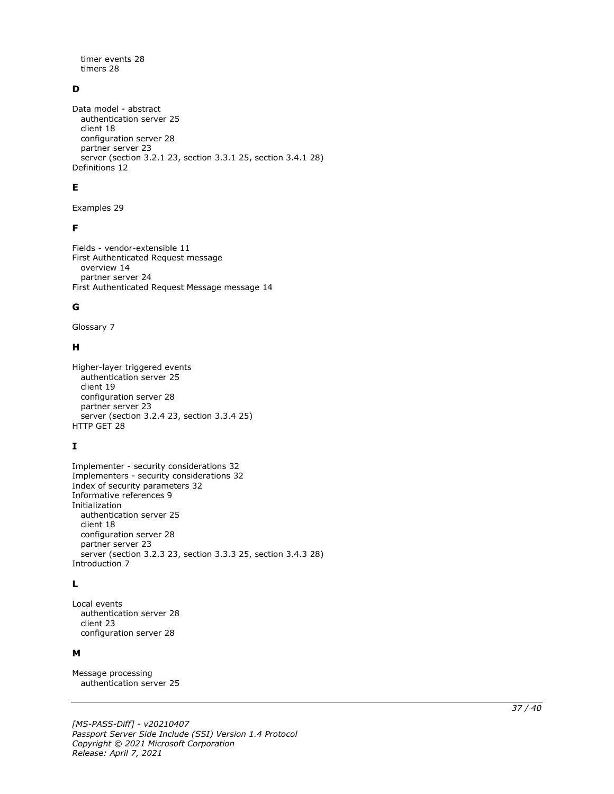timer events 28 timers 28

## **D**

Data model - abstract authentication server 25 client 18 configuration server 28 partner server 23 server (section 3.2.1 23, section 3.3.1 25, section 3.4.1 28) Definitions 12

## **E**

Examples 29

#### **F**

Fields - vendor-extensible 11 First Authenticated Request message overview 14 partner server 24 First Authenticated Request Message message 14

#### **G**

Glossary 7

#### **H**

```
Higher-layer triggered events
   authentication server 25
   client 19
   configuration server 28
   partner server 23
  server (section 3.2.4 23, section 3.3.4 25)
HTTP GET 28
```
## **I**

Implementer - security considerations 32 Implementers - security considerations 32 Index of security parameters 32 Informative references 9 Initialization authentication server 25 client 18 configuration server 28 partner server 23 server (section 3.2.3 23, section 3.3.3 25, section 3.4.3 28) Introduction 7

## **L**

Local events authentication server 28 client 23 configuration server 28

#### **M**

Message processing authentication server 25

*[MS-PASS-Diff] - v20210407 Passport Server Side Include (SSI) Version 1.4 Protocol Copyright © 2021 Microsoft Corporation Release: April 7, 2021*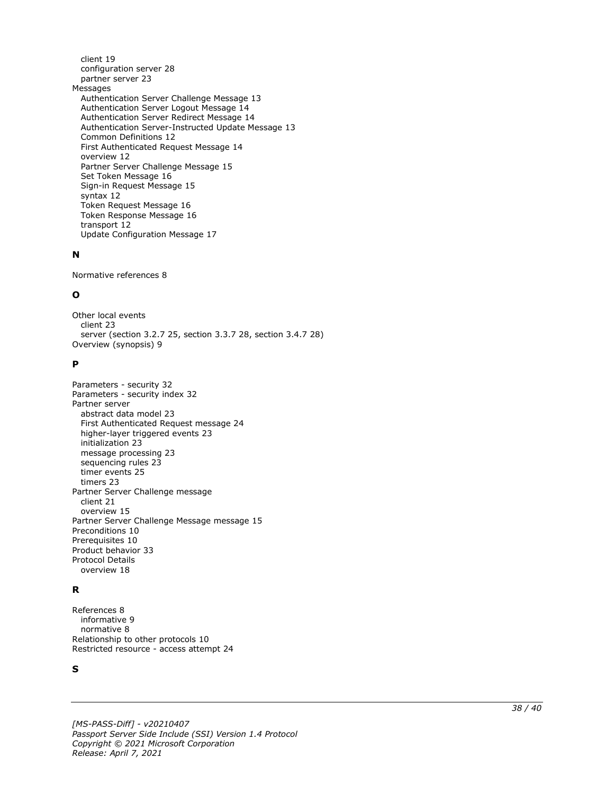client 19 configuration server 28 partner server 23 Messages Authentication Server Challenge Message 13 Authentication Server Logout Message 14 Authentication Server Redirect Message 14 Authentication Server -Instructed Update Message 13 Common Definitions 12 First Authenticated Request Message 14 overview 12 Partner Server Challenge Message 15 Set Token Message 16 Sign -in Request Message 15 syntax 12 Token Request Message 16 Token Response Message 16 transport 12 Update Configuration Message 17

## **N**

Normative references 8

## **O**

Other local events client 23 server (section 3.2.7 25, section 3.3.7 28, section 3.4.7 28 ) Overview (synopsis) 9

#### **P**

```
Parameters 
- security 32
Parameters 
- security index 32
Partner server
   abstract data model 23
   First Authenticated Request message 24
 higher
-layer triggered events 23
   initialization 23
   message processing 23
   sequencing rules 23
   timer events 25
   timers 23
Partner Server Challenge message
   client 21
   overview 15
Partner Server Challenge Message message 15
Preconditions 10
Prerequisites 10
Product behavior 33
Protocol Details
  overview 18
```
## **R**

```
References 
8
 informative 
9
 normative 
8
Relationship to other protocols 10
Restricted resource 
- access attempt 24
```
#### **S**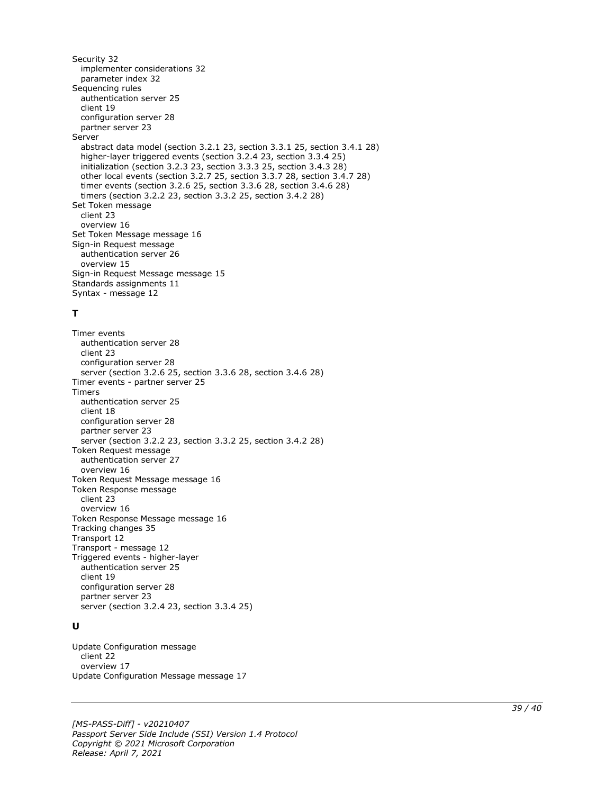Security 32 implementer considerations 32 parameter index 32 Sequencing rules authentication server 25 client 19 configuration server 28 partner server 23 Server abstract data model (section 3.2.1 23, section 3.3.1 25, section 3.4.1 28) higher-layer triggered events (section 3.2.4 23, section 3.3.4 25) initialization (section 3.2.3 23, section 3.3.3 25, section 3.4.3 28) other local events (section 3.2.7 25, section 3.3.7 28, section 3.4.7 28) timer events (section 3.2.6 25, section 3.3.6 28, section 3.4.6 28) timers (section 3.2.2 23, section 3.3.2 25, section 3.4.2 28) Set Token message client 23 overview 16 Set Token Message message 16 Sign-in Request message authentication server 26 overview 15 Sign-in Request Message message 15 Standards assignments 11 Syntax - message 12

#### **T**

Timer events authentication server 28 client 23 configuration server 28 server (section 3.2.6 25, section 3.3.6 28, section 3.4.6 28) Timer events - partner server 25 Timers authentication server 25 client 18 configuration server 28 partner server 23 server (section 3.2.2 23, section 3.3.2 25, section 3.4.2 28) Token Request message authentication server 27 overview 16 Token Request Message message 16 Token Response message client 23 overview 16 Token Response Message message 16 Tracking changes 35 Transport 12 Transport - message 12 Triggered events - higher-layer authentication server 25 client 19 configuration server 28 partner server 23 server (section 3.2.4 23, section 3.3.4 25)

#### **U**

Update Configuration message client 22 overview 17 Update Configuration Message message 17

*[MS-PASS-Diff] - v20210407 Passport Server Side Include (SSI) Version 1.4 Protocol Copyright © 2021 Microsoft Corporation Release: April 7, 2021*